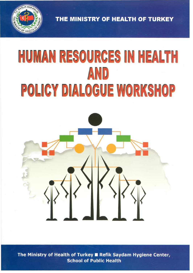

THE MINISTRY OF HEALTH OF TURKEY

# **HUMAN RESOURCES IN HEALTH** AND **POLICY DIALOGUE WORKSHOP**



The Ministry of Health of Turkey ■ Refik Saydam Hygiene Center, **School of Public Health**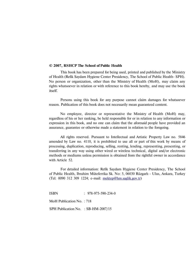#### **© 2007, RSHCP The School of Public Health**

This book has been prepared for being used, printed and published by the Ministry of Health (Refik Saydam Hygiene Center Presidency, The School of Public Health- SPH). No person or organization, other than the Ministry of Health (MoH), may claim any rights whatsoever in relation or with reference to this book hereby, and may use the book itself.

Persons using this book for any purpose cannot claim damages for whatsoever reason. Publication of this book does not necessarily mean guaranteed content.

No employee, director or representative the Ministry of Health (MoH) may, regardless of his or her ranking, be held responsible for or in relation to any information or expression in this book, and no one can claim that the aforesaid people have provided an assurance, guarantee or otherwise made a statement in relation to the foregoing.

All rights reserved. Pursuant to Intellectual and Artistic Property Law no. 5846 amended by Law no. 4110, it is prohibited to use all or part of this work by means of processing, duplication, reproducing, selling, renting, lending, representing, presenting, or transferring in any way using other wired or wireless technical, digital and/or electronic methods or mediums unless permission is obtained from the rightful owner in accordance with Article 52.

For detailed information: Refik Saydam Hygiene Center Presidency, The School of Public Health, Ibrahim Müteferrika Sk. No: 5, 06030 Rüzgarlı - Ulus, Ankara, Turkey (Tel: 0090 312 309 1224; e-mail: [mektep@hm.saglik.gov.tr\)](mailto:mektep@hm.saglik.gov.tr)

ISBN : 978-975-590-234-0

MoH Publication No. : 718

SPH Publication No. : SB-HM-2007/15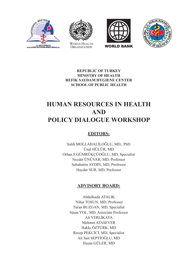







**REPUBLIC OF TURKEY MINISTRY OF HEALTH REFIK SAYDAM HYGIENE CENTER SCHOOL OF PUBLIC HEALTH**

## **HUMAN RESOURCES IN HEALTH AND POLICY DIALOGUE WORKSHOP**

## **EDITORS:**

Salih MOLLAHALİLOĞLU, MD, PhD Ünal HÜLÜR, MD Orhan F.GÜMRÜKÇÜOĞLU, MD, Specialist Necdet ÜNÜVAR, MD, Professor Sabahattin AYDIN, MD, Professor Haydar SUR, MD, Professor

## **ADVISORY BOARD:**

Abdulkadir ATALIK Nihat TOSUN, MD, Professor Turan BUZGAN, MD, Specialist Sinan YOL, MD, Associate Professor Ali YERLİKAYA Mehmet ATASEVER Hakkı ÖZTÜRK, MD Recep PEKCİCİ, MD, Specialist Ali Sait SEPTİOĞLU, MD Hasan GÜLER, MD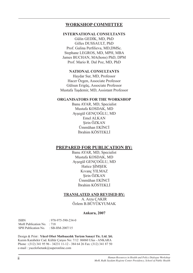## **WORKSHOP COMMITTEE**

#### **INTERNATIONAL CONSULTANTS**

Gülin GEDİK, MD, PhD Gilles DUSSAULT, PhD Prof. Galina Perfilieva, MD,DMSc. Stephane LEGROS, MD, MPH, MBA James BUCHAN, MA(hons) PhD, DPM Prof. Mario R. Dal Poz, MD, PhD

#### **NATIONAL CONSULTANTS**

Haydar Sur, MD, Professor Hacer Özgen, Associate Professor Gülsun Erigüç, Associate Professor Mustafa Taşdemir, MD, Assistant Professor

#### **ORGANISATORS FOR THE WORKSHOP**

Banu AYAR, MD, Specialist Mustafa KOSDAK, MD Ayşegül GENÇOĞLU, MD Emel ALKAN Şirin ÖZKAN Ümmühan EKİNCİ İbrahim KÖSTEKLİ

## **PREPARED FOR PUBLICATION BY:**

Banu AYAR, MD, Specialist Mustafa KOSDAK, MD Ayşegül GENÇOĞLU, MD Hatice ŞİMŞEK Kıvanç YILMAZ Şirin ÖZKAN Ümmühan EKİNCİ İbrahim KÖSTEKLİ

#### **TRANSLATED AND REVISED BY:**

A. Arzu ÇAKIR Özlem B.BÜYÜKYUMAK

#### **Ankara, 2007**

ISBN : 978-975-590-234-0 MoH Publication No. : 718 SPH Publication No. : SB-HM-2007/15

Design & Print : **Yücel Ofset Matbaacılık Turizm Sanayi Tic. Ltd. Şti.** Kazım Karabekir Cad. Kültür Çarşısı No: 7/12 06060 Ulus - ANKARA Phone : (312) 341 95 96 - 34231 11-12 - 384 64 26 Fax: (312) 341 87 50 e-mail : yucelofsetank@superonline.com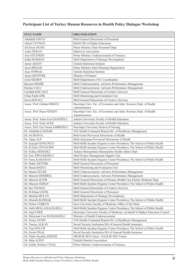## **Participant List of Turkey Human Resources in Health Policy Dialogue Workshop**

| <b>FULL NAME</b>                 | <b>ORGANIZATION</b>                                                                  |  |  |  |  |  |
|----------------------------------|--------------------------------------------------------------------------------------|--|--|--|--|--|
| Abdullah YAVUZ                   | MoH General Directorate of Personnel                                                 |  |  |  |  |  |
| Ahmet CEYHAN                     | MoNE DG of Higher Education                                                          |  |  |  |  |  |
| Ali Enver DUDU                   | Prime Ministry State Personnel Dept.                                                 |  |  |  |  |  |
| Asibe ÖZKAN                      | Midwives Association                                                                 |  |  |  |  |  |
| Aslı GÜLTEKİN                    | Prime Ministry Undersecretariat of Treasury                                          |  |  |  |  |  |
| Atilla DURMAZ                    | MoH Department of Strategy Development                                               |  |  |  |  |  |
| Aynur AKSOY                      | <b>Turkish Statistical Institute</b>                                                 |  |  |  |  |  |
| Aysel BİNLER                     | Prime Ministry State Planning Organization                                           |  |  |  |  |  |
| Ayşe TOPRAK                      | <b>Turkish Statistical Institute</b>                                                 |  |  |  |  |  |
| Ayşen ŞENTÜRK                    | Ministry of Finance                                                                  |  |  |  |  |  |
| Azmi EKMEN                       | MoH Department of EU Coordination                                                    |  |  |  |  |  |
| Bayram DEMİR                     | MoH Undersecretariat Advisors Performance Management                                 |  |  |  |  |  |
| Beyhan USLU                      | MoH Undersecretariat Advisors Performance Management                                 |  |  |  |  |  |
| Carullah KOCAELİ                 | MoH General Directorate of Curative Services                                         |  |  |  |  |  |
| Cihan Fatih GÖK                  | MoH Monitoring and Evaluation Unit                                                   |  |  |  |  |  |
| Davut KINACI                     | MoH General Directorate of Curative Services                                         |  |  |  |  |  |
| Assoc. Prof. Gülsün ERİGÜÇ       | Hacettepe Univ. Fac. of Economic and Adm. Sciences Dept. of Health                   |  |  |  |  |  |
|                                  | Administration                                                                       |  |  |  |  |  |
| Assoc. Prof. Hacer ÖZGEN         | Hacettepe Univ. Fac. of Economic and Adm. Sciences Dept. of Health<br>Administration |  |  |  |  |  |
| Assoc. Prof. Afsun Ezel ESATOĞLU | Ankara University Faculty of Health Education                                        |  |  |  |  |  |
| Assoc. Prof. Nazlı ATAK          | Ankara University Faculty of Health Education                                        |  |  |  |  |  |
| Assoc. Prof. Oya Nuran EMİROĞLU  | Hacettepe University School of Nursing                                               |  |  |  |  |  |
| Dr. Abdullah ÇANDAR              | TAF Health Command Branch Dir. of Healthcare Management                              |  |  |  |  |  |
| Dr. Ali IRAVUL                   | MoH Izmir Provincial Directorate of Health                                           |  |  |  |  |  |
| Dr. Alpay ALP                    | MoH Adıyaman Provincial Directorate of Health                                        |  |  |  |  |  |
| Dr. Ayşegül GENÇOĞLU             | MoH Refik Saydam Hygiene Center Presidency The School of Public Health               |  |  |  |  |  |
| Dr. B.Zafer GÜNAYDIN             | MoH Refik Saydam Hygiene Center Presidency The School of Public Health               |  |  |  |  |  |
| Dr. Erdinç ERDEMLİ               | Ankara Metropolitan Municipality Health Affairs Dept.                                |  |  |  |  |  |
| Dr. Esra TİRYAKİOĞLU             | MoH Project Management Support Unit                                                  |  |  |  |  |  |
| Dr. Feray KARAMAN                | MoH Refik Saydam Hygiene Center Presidency The School of Public Health               |  |  |  |  |  |
| Dr. Hakkı ÖZTÜRK                 | MoH General Directorate of Personnel                                                 |  |  |  |  |  |
| Dr. Hasan BAĞCI                  | MoH Monitoring and Evaluation Unit                                                   |  |  |  |  |  |
| Dr. Hasan GÜLER                  | MoH Undersecretariat Advisors Performance Management                                 |  |  |  |  |  |
| Dr. Hüseyin DEMİREL              | MoH Undersecretariat Advisors Performance Management                                 |  |  |  |  |  |
| Dr. Hüseyin İLTER                | MoH General Directorate of Primary Health Care Family Medicine Dept.                 |  |  |  |  |  |
| Dr. Hüseyin ÖZBAY                | MoH Refik Saydam Hygiene Center Presidency The School of Public Health               |  |  |  |  |  |
| Dr. İnci YILMAZ                  | MoH General Directorate of Curative Services                                         |  |  |  |  |  |
| Dr. M.Erkan ÇİÇEK                | MoH General Directorate of Personnel                                                 |  |  |  |  |  |
| Dr. Mustafa BULUN                | MoH Department of Strategy Development.                                              |  |  |  |  |  |
| Dr. Mustafa KOSDAK               | MoH Refik Saydam Hygiene Center Presidency The School of Public Health               |  |  |  |  |  |
| Dr. Özlem COŞKUN                 | Gazi University Faculty of Medicine, Office of the Dean                              |  |  |  |  |  |
| Dr. Salih MOLLAHALİLOĞLU         | MoH Refik Saydam Hygiene Center Presidency The School of Public Health               |  |  |  |  |  |
| Dr. Sarp ÜNER                    | Hacettepe University Faculty of Medicine, on behalf of Higher Education Council      |  |  |  |  |  |
| Dr. Süleyman Can NUMANOĞLU       | Ministry of Health Undersecretariat                                                  |  |  |  |  |  |
| Dr. Tamer AYDIN                  | TAF Health Command Branch Dir. of Healthcare Management                              |  |  |  |  |  |
| Dr. Tuncay ALKAN                 | Social Security Institution DG of General Health Insurance                           |  |  |  |  |  |
| Dr. Ünal HÜLÜR                   | MoH Refik Saydam Hygiene Center Presidency The School of Public Health               |  |  |  |  |  |
| Dr. Zerrin ÖNAL                  | Social Security Institution DG of General Health Insurance                           |  |  |  |  |  |
| Dr. Ömür Akyıldız EREĞİZ         | MEMUR-SEN Union / SAGLIK-SEN Union                                                   |  |  |  |  |  |
| Dr. Süha ALPAY                   | Turkish Dentists Association                                                         |  |  |  |  |  |
| Dr. Zeliha Nurhan UYSAL          | Prime Ministry Undersecretariat of Treasury                                          |  |  |  |  |  |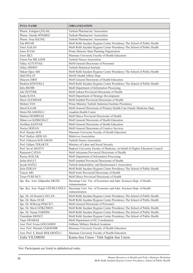| <b>FULL NAME</b>                 | <b>ORGANIZATION</b>                                                                  |
|----------------------------------|--------------------------------------------------------------------------------------|
| Pharm. Erdoğan ÇOLAK             | Turkish Pharmacists' Association                                                     |
| Pharm. Güzide SÖNMEZ             | Turkish Pharmacists' Association                                                     |
| Pharm. Nese KILINÇ               | Turkish Pharmacists' Association                                                     |
| Eda BINAR                        | MoH Refik Saydam Hygiene Center Presidency The School of Public Health               |
| Emel ALKAN                       | MoH Refik Saydam Hygiene Center Presidency The School of Public Health               |
| Emre ILYAS                       | Prime Ministry State Planning Organization                                           |
| Emre İŞÇİ                        | Marmara University Faculty of Health Education                                       |
| Fatma Nur BİLAZER                | <b>Turkish Nurses Association</b>                                                    |
| Gülay ALTUNTAŞ                   | MoH General Directorate of Personnel                                                 |
| Gülay ERDEN                      | <b>Turkish Statistical Institute</b>                                                 |
| Hakan Oğuz ARI                   | MoH Refik Saydam Hygiene Center Presidency The School of Public Health               |
| Halil POLAT                      | MoNE Health Affairs Dept.                                                            |
| Hüseyin ZIRH                     | MoH General Directorate of Health Education                                          |
| İbrahim KÖSTEKLİ                 | MoH Refik Saydam Hygiene Center Presidency The School of Public Health               |
| İdris BEDİR                      | MoH Department of Information Processing                                             |
| Jale ÖZTÜRK                      | MoH Ankara Provincial Directorate of Health                                          |
| Kader KAYA                       | MoH Department of Strategy Development                                               |
| Mecit ALEMDAR                    | MoH Istanbul Provincial Directorate of Health                                        |
| Meltem TAN                       | Prime Ministry Turkish Statistical Institute Presidency                              |
| Meral ILGAR                      | MoH General Directorate of Primary Health Care Family Medicine Dept.                 |
| Metin İSLAMOĞLU                  | Anadolu Health Center                                                                |
| Muhsin DEMİRTAŞ                  | MoH Düzce Provincial Directorate of Health                                           |
| Münevver KERKÜKLÜ                | MoH General Directorate of Health Education                                          |
| Neslihan ŞAHYAR                  | MoH General Directorate of Health Education                                          |
| Nuriye DOĞAN                     | MoH General Directorate of Curative Services                                         |
| Prof. Haydar SUR                 | Marmara University Faculty of Health Education                                       |
| Prof. Hediye ARSLAN              | Midwives Association                                                                 |
| Prof. Gülseren KOCAMAN           | <b>Turkish Nurses Association</b>                                                    |
| Prof. Gülşen TERAKYE             | Ministry of Labor and Social Security                                                |
| Prof. Seval AKGÜN                | Başkent University Faculty of Medicine, on behalf of Higher Education Council        |
| Ramazan ÇATAN                    | MoH Adıyaman Provincial Directorate of Health                                        |
| Raziye KOÇAK                     | MoH Department of Information Processing                                             |
| Selim BALCI                      | MoH Istanbul Provincial Directorate of Health                                        |
| Şeyda DAĞLI                      | Turkish Industrialists' and Businessmen's Association                                |
| Şirin ÖZKAN                      | MoH Refik Saydam Hygiene Center Presidency The School of Public Health               |
| Tuncer ARI                       | MoH Izmir Provincial Directorate of Health                                           |
| Turan FURUNCU                    | MoH Düzce Provincial Directorate of Health                                           |
| Spc. Rsc. Asst. Gülpembe ERGİN   | Hacettepe Univ. Fac. of Economic and Adm. Sciences Dept. of Health<br>Administration |
| Spc. Rsc. Asst. Özgür UĞURLUOĞLU | Hacettepe Univ. Fac. of Economic and Adm. Sciences Dept. of Health<br>Administration |
| Spc. Dr. Ali Kemal ÇAYLAN        | MoH Refik Saydam Hygiene Center Presidency The School of Public Health               |
| Spc. Dr. Banu AYAR               | MoH Refik Saydam Hygiene Center Presidency The School of Public Health               |
| Spc. Dr. M.Recep PEKCICI         | MoH General Directorate of Personnel                                                 |
| Spc. Dr. Mecit GÖKÇİMEN          | MoH Refik Saydam Hygiene Center Presidency The School of Public Health               |
| Spc. Dr. Nazan YARDIM            | MoH Refik Saydam Hygiene Center Presidency The School of Public Health               |
| Ümmühan EKİNCİ                   | MoH Refik Saydam Hygiene Center Presidency The School of Public Health               |
| Yaşar ODABAŞ                     | MoH Department of EU Coordination                                                    |
| Asst. Prof. Ercan GÖÇGERDİ       | Gülhane Military Medical Academy                                                     |
| Asst. Prof. Mustafa TAŞDEMİR     | Marmara University Faculty of Health Education                                       |
| Asst. Prof. Ş. Burak BEKAROĞLU   | Marmara University Faculty of Health Education                                       |
| Zafer YILDIRIM                   | Kamu-Sen Union / Türk Sağlık-Sen Union                                               |
|                                  |                                                                                      |

Not: Participants are listed in alphabetical order.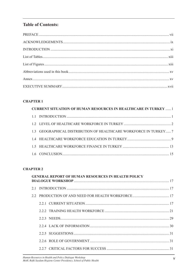## **Table of Contents:**

## **CHAPTER 1**

| <b>CURRENT SITUATION OF HUMAN RESOURCES IN HEALTHCARE IN TURKEY  1</b> |  |
|------------------------------------------------------------------------|--|
|                                                                        |  |
|                                                                        |  |
| 1.3 GEOGRAPHICAL DISTRIBUTION OF HEALTHCARE WORKFORCE IN TURKEY 7      |  |
|                                                                        |  |
|                                                                        |  |
|                                                                        |  |

## **CHAPTER 2**

| <b>GENERAL REPORT OF HUMAN RESOURCES IN HEALTH POLICY</b> |
|-----------------------------------------------------------|
|                                                           |
|                                                           |
|                                                           |
|                                                           |
|                                                           |
|                                                           |
|                                                           |
| 31                                                        |
| 31                                                        |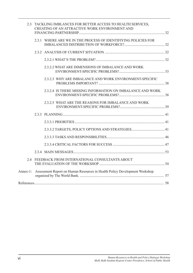| 2.3      | TACKLING IMBLANCES FOR BETTER ACCESS TO HEALTH SERVICES,<br>CREATING OF AN ATTRACTIVE WORK ENVIRONMENT AND |  |
|----------|------------------------------------------------------------------------------------------------------------|--|
|          |                                                                                                            |  |
|          | 2.3.1 WHERE ARE WE IN THE PROCESS OF IDENTIFIYING POLICIES FOR                                             |  |
|          |                                                                                                            |  |
|          |                                                                                                            |  |
|          | 2.3.2.2 WHAT ARE DIMENSIONS OF IMBALANCE AND WORK                                                          |  |
|          | 2.3.2.3 WHY ARE IMBALANCE AND WORK ENVIRONMENT-SPECIFIC                                                    |  |
|          | 2.3.2.4 IS THERE MISSING INFORMATION ON IMBALANCE AND WORK                                                 |  |
|          | 2.3.2.5 WHAT ARE THE REASONS FOR IMBALANCE AND WORK                                                        |  |
|          |                                                                                                            |  |
|          |                                                                                                            |  |
|          |                                                                                                            |  |
|          |                                                                                                            |  |
|          |                                                                                                            |  |
|          |                                                                                                            |  |
| 24       | FEEDBACK FROM INTERNATIONAL CONSULTANTS ABOUT                                                              |  |
| Annex-1: | Assessment Report on Human Resources in Health Policy Development Workshop                                 |  |
|          |                                                                                                            |  |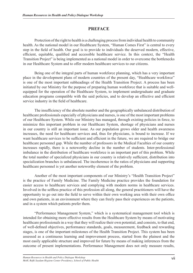## **PREFACE**

Protection of the right to health is a challenging process from individual health to community health. As the national model in our Healthcare System, "Human Comes First" is central to every step in the field of health. Our goal is to provide to individuals the deserved modern, effective, efficient, equitable, qualified and accessible healthcare service. In this context, the "Health Transition Project" is being implemented as a national model in order to overcome the bottlenecks in our Healthcare System and to offer modern healthcare services to our citizens.

Being one of the integral parts of human workforce planning, which has a very important place in the development plans of modern countries of the present day, "Healthcare workforce" is one of the most important subheadings of the Health Transition Project. A process has been initiated by our Ministry for the purpose of preparing human workforce that is suitable and wellequipped for the operation of the Healthcare System, to implement undergraduate and graduate education programs compatible with the said policies, and to develop an effective and efficient service industry in the field of healthcare.

The insufficiency of the absolute number and the geographically unbalanced distribution of healthcare professionals especially of physicians and nurses, is one of the most important problems of our Healthcare System. While our Ministry has managed, through existing policies in force, to minimize this important problem in our Healthcare System, shortage of physicians and nurses in our country is still an important issue. As our population grows older and health awareness increases, the need for healthcare services and, thus for physicians, is bound to increase. If we want healthcare services to be sufficient and efficient in the future, we are required to bridge our healthcare personnel gap. While the number of professors in the Medical Faculties of our country increases rapidly, there is a noteworthy decline in the number of students. Inter-professional imbalance in the distribution of healthcare workforce is an important part of this problem. While the total number of specialized physicians in our country is relatively sufficient, distribution into specialization branches is unbalanced. The incoherence in the ratios of physicians and supporting healthcare personnel is yet another noteworthy element of the problem.

Another of the most important components of our Ministry's "Health Transition Project" is the practice of Family Medicine. The Family Medicine practice provides the foundation for easier access to healthcare services and complying with modern norms in healthcare services. Involved in the selfless practice of this profession all along, the general practitioners will have the opportunity to go out into the field to serve within their own working area with their own office and own patients, in an environment where they can freely pass their experiences on the patients, and in a system which patients prefer them.

"Performance Management System," which is a systematical management tool which is intended for obtaining more effective results from the Healthcare System by means of motivating healthcare professionals in a way that they will realize their own potential, and consists, to that end, of well-defined objectives, performance standards, goals, measurement, feedback and rewarding stages, is one of the important milestones of the Health Transition Project. This system has been assessed as a continuous learning and improvement process, started from the plainest and the most easily applicable structure and improved for future by means of making inferences from the outcome of present implementations. Performance Management does not only measure results,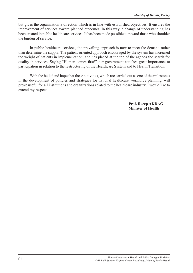but gives the organization a direction which is in line with established objectives. It ensures the improvement of services toward planned outcomes. In this way, a change of understanding has been created in public healthcare services. It has been made possible to reward those who shoulder the burden of service.

In public healthcare services, the prevailing approach is now to meet the demand rather than determine the supply. The patient-oriented approach encouraged by the system has increased the weight of patients in implementation, and has placed at the top of the agenda the search for quality in services. Saying "Human comes first!" our government attaches great importance to participation in relation to the restructuring of the Healthcare System and to Health Transition.

With the belief and hope that these activities, which are carried out as one of the milestones in the development of policies and strategies for national healthcare workforce planning, will prove useful for all institutions and organizations related to the healthcare industry, I would like to extend my respect.

> **Prof. Recep AKDAĞ Minister of Health**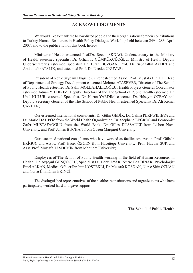## **ACKNOWLEDGEMENTS**

We would like to thank the below-listed people and their organizations for their contributions to Turkey Human Resources in Health Policy Dialogue Workshop held between  $24<sup>th</sup> - 28<sup>th</sup>$  April 2007, and to the publication of this book hereby:

Minister of Health esteemed Prof.Dr. Recep AKDAĞ, Undersecretary to the Ministry of Health esteemed specialist Dr. Orhan F. GÜMRÜKÇÜOĞLU, Ministry of Health Deputy Undersecreteries esteemed specialist Dr. Turan BUZGAN, Prof. Dr. Sabahattin AYDIN and Abdulkadir ATALIK, and esteemed Prof. Dr. Necdet ÜNÜVAR;

President of Refik Saydam Hygiene Center esteemed Assoc. Prof. Mustafa ERTEK, Head of Department of Strategy Development esteemed Mehmet ATASEVER, Director of The School of Public Health esteemed Dr. Salih MOLLAHALİLOĞLU, Health Project General Coordinator esteemed Adnan YILDIRIM, Deputy Directors of the The School of Public Health esteemed Dr. Ünal HÜLÜR, esteemed Specialist. Dr. Nazan YARDIM, esteemed Dr. Hüseyin ÖZBAY, and Deputy Secretary General of the The School of Public Health esteemed Specialist Dr. Ali Kemal ÇAYLAN;

Our esteemed international consultants: Dr. Gülin GEDİK, Dr. Galina PERFWILIEVA and Dr. Mario DAL POZ from the World Health Organization, Dr. Stephane LEGROS and Economist Zafer MUSTAFAOĞLU from the World Bank, Dr. Gilles DUSSAULT from Lisbon Nova University, and Prof. James BUCHAN from Queen Margaret University;

Our esteemed national consultants who have worked as facilitators: Assoc. Prof. Gülsün ERİGÜÇ and Assoc. Prof. Hacer ÖZGEN from Hacettepe University, Prof. Haydar SUR and Asst. Prof. Mustafa TAŞDEMİR from Marmara University;

Employees of The School of Public Health working in the field of Human Resources in Health: Dr. Ayşegül GENÇOĞLU, Specialist.Dr. Banu AYAR, Nurse Eda BİNAR, Psychologist Emel ALKAN, Medical Officer İbrahim KÖSTEKLİ, Dr. Mustafa KOSDAK, Nurse Şirin ÖZKAN and Nurse Ümmühan EKİNCİ;

The distinguished representatives of the healthcare institutions and organizations who have participated, worked hard and gave support;

**The School of Public Health**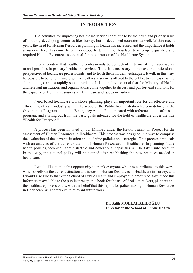## **INTRODUCTION**

The activities for improving healthcare services continue to be the basic and priority issue of not only developing countries like Turkey, but of developed countries as well. Within recent years, the need for Human Resources planning in health has increased and the importance it holds at national level has come to be understood better in time. Availability of proper, qualified and required Human Resources is essential for the operation of the Healthcare System.

It is imperative that healthcare professionals be competent in terms of their approaches to and practices in primary healthcare services. Thus, it is necessary to improve the professional perspectives of healthcare professionals, and to teach them modern techniques. It will, in this way, be possible to better plan and organize healthcare services offered to the public, to address existing shortcomings, and to rapidly solve problems. It is therefore essential that the Ministry of Health and relevant institutions and organizations come together to discuss and put forward solutions for the capacity of Human Resources in Healthcare and issues in Turkey.

Need-based healthcare workforce planning plays an important role for an effective and efficient healthcare industry within the scope of the Public Administration Reform defined in the Government Program and in the Emergency Action Plan prepared with reference to the aforesaid program, and starting out from the basic goals intended for the field of healthcare under the title "Health for Everyone."

A process has been initiated by our Ministry under the Health Transition Project for the assessment of Human Resources in Healthcare. This process was designed in a way to comprise the evaluation of the current situation and to define policies and strategies. This process first deals with an analysis of the current situation of Human Resources in Healthcare. In planning future health policies, technical, administrative and educational capacities will be taken into account. In this way, the national policy will be defined after establishing the new practices needed in healthcare.

I would like to take this opportunity to thank everyone who has contributed to this work, which dwells on the current situation and issues of Human Resources in Healthcare in Turkey; and I would also like to thank the School of Public Health and employees thereof who have made this information available to the public through this book for the use of decision-makers, planners and the healthcare professionals, with the belief that this report for policymaking in Human Resources in Healthcare will contribute to relevant future work.

> **Dr. Salih MOLLAHALİLOĞLU Director of the School of Public Health**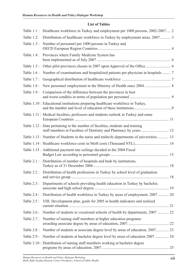## **List of Tables**

|               | Table 1.1: Healthcare workforce in Turkey and employment per 1000 persons, 2002-2007 2                                                             |  |
|---------------|----------------------------------------------------------------------------------------------------------------------------------------------------|--|
| Table 1.2:    | Distribution of healthcare workforce in Turkey by employment areas, 2007 3                                                                         |  |
| Table $1.3$ : | Number of personnel per 1000 persons in Turkey and                                                                                                 |  |
| Table $1.4$ : | Provinces where Family Medicine System has                                                                                                         |  |
| Table $1.5$ : |                                                                                                                                                    |  |
| Table $1.6$ : | Number of examinations and hospitalized patients per physician in hospitals  7                                                                     |  |
|               |                                                                                                                                                    |  |
| Table $1.8:$  |                                                                                                                                                    |  |
| Table $1.9:$  | Comparison of the difference between the provinces in best                                                                                         |  |
|               | Table 1.10 : Educational institutions preparing healthcare workforce in Turkey,                                                                    |  |
|               | Table 1.11 : Medical faculties, professors and students outlook in Turkey and some                                                                 |  |
|               | Table 1.12 : Data pertaining to the number of faculties, students and training<br>staff members at Faculties of Dentistry and Pharmacy by years 12 |  |
|               | Table 1.13 : Number of Students in the nurse and midwife departments of universities 13                                                            |  |
|               | Table 1.14 : Healthcare workforce costs in MoH costs (Thousand NTL) 14                                                                             |  |
|               | Table 1.15 : Additional payment rate ceilings decided in the 2004 Fiscal                                                                           |  |
| Table $2.1$ : | Distribution of number of hospitals and beds by institutions,                                                                                      |  |
|               | Table 2.2: Distribution of health professions in Turkey by school level of graduation                                                              |  |
| Table $2.3$ : | Departments of schools providing health education in Turkey by bachelor,                                                                           |  |
| Table $2.4$ : | Distribution of health workforce in Turkey by areas of employment, 2007  20                                                                        |  |
|               | Table 2.5: VIII. Development plan, goals for 2005 in health indicators and realized                                                                |  |
| Table $2.6$ : | Number of students in vocational schools of health by departments, 2007  22                                                                        |  |
| Table $2.7$ : | Number of raining staff members at higher education programs                                                                                       |  |
| Table $2.8:$  |                                                                                                                                                    |  |
|               | Table 2.9: Number of students at bachelor degree level by areas of education 2007  24                                                              |  |
|               | Table 2.10 : Distribution of raining staff members working at bachelor degree                                                                      |  |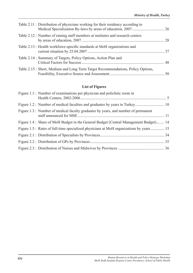| Table 2.11 : Distribution of physicians working for their residency according to |  |
|----------------------------------------------------------------------------------|--|
| Table 2.12 : Number of raining staff members at institutes and research centers  |  |
| Table 2.13 : Health workforce-specific standards at MoH organizations and        |  |
| Table 2.14 : Summary of Targets, Policy Options, Action Plan and                 |  |
| Table 2.15 : Short, Medium and Long Term Target Recommendations, Policy Options, |  |

## **List of Figures**

| Figure 1.1 : Number of examinations per physician and policlinic room in               |  |
|----------------------------------------------------------------------------------------|--|
|                                                                                        |  |
| Figure 1.3 : Number of medical faculty graduates by years, and number of permanent     |  |
| Figure 1.4: Share of MoH Budget in the General Budget (Central Management Budget) 14   |  |
| Figure 1.5: Rates of full-time specialized physicians at MoH organizations by years 15 |  |
|                                                                                        |  |
|                                                                                        |  |
|                                                                                        |  |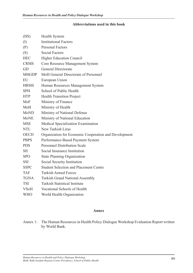## **Abbreviations used in this book**

| (HS)         | <b>Health System</b>                                  |
|--------------|-------------------------------------------------------|
| (I)          | <b>Institutional Factors</b>                          |
| (P)          | <b>Personal Factors</b>                               |
| (S)          | <b>Social Factors</b>                                 |
| <b>HEC</b>   | <b>Higher Education Council</b>                       |
| <b>CRMS</b>  | Core Resource Management System                       |
| GD           | <b>General Directorate</b>                            |
| <b>MHGDP</b> | MoH General Directorate of Personnel                  |
| EU           | European Union                                        |
| <b>HRMS</b>  | Human Resources Management System                     |
| <b>SPH</b>   | School of Public Health                               |
| <b>HTP</b>   | <b>Health Transition Project</b>                      |
| MoF          | Ministry of Finance                                   |
| MoH          | Ministry of Health                                    |
| <b>MoND</b>  | Ministry of National Defense                          |
| <b>MoNE</b>  | Ministry of National Education                        |
| <b>MSE</b>   | Medical Specialization Examination                    |
| <b>NTL</b>   | New Turkish Liras                                     |
| <b>OECD</b>  | Organization for Economic Cooperation and Development |
| <b>PBPS</b>  | Performance-Based Payment System                      |
| <b>PDS</b>   | <b>Personnel Distribution Scale</b>                   |
| <b>SII</b>   | Social Insurance Institution                          |
| <b>SPO</b>   | <b>State Planning Organization</b>                    |
| <b>SSI</b>   | Social Security Institution                           |
| <b>SSPC</b>  | <b>Student Selection and Placement Centre</b>         |
| <b>TAF</b>   | <b>Turkish Armed Forces</b>                           |
| <b>TGNA</b>  | <b>Turkish Grand National Assembly</b>                |
| <b>TSI</b>   | <b>Turkish Statistical Institute</b>                  |
| <b>VSoH</b>  | Vocational Schools of Health                          |
| <b>WHO</b>   | World Health Organization                             |

## **Annex**

Annex 1: The Human Resources in Health Policy Dialogue Workshop Evaluation Report written by World Bank.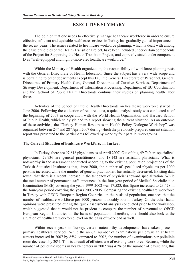## **EXECUTIVE SUMMARY**

The opinion that one needs to effectively manage healthcare workforce in order to ensure effective, efficient and equitable healthcare services in Turkey has gradually gained importance in the recent years. The issues related to healthcare workforce planning, which is dealt with among the basic principles of the Health Transition Project, have been included under certain components of the Project for Supporting the Health Transition Project, and expressly stated under component D as "well-equipped and highly-motivated healthcare workforce."

Within the Ministry of Health organization, the responsibility of workforce planning rests with the General Directorate of Health Education. Since the subject has a very wide scope and is pertaining to other departments except this DG, the General Directorate of Personnel, General Directorate of Primary Health Care, General Directorate of Curative Services, Department of Strategy Development, Department of Information Processing, Department of EU Coordination and the School of Public Health Directorate continue their studies on planning health labor force.

Activities of the School of Public Health Directorate on healthcare workforce started in June 2006. Following the collection of required data, a quick analysis study was conducted as of the beginning of 2007 in cooperation with the World Health Organization and Harvard School of Public Health, which study yielded to a report showing the current situation. As an outcome of these activities, the "Turkey Human Resources in Health Policy Dialogue Workshop" was organized between 24<sup>th</sup> and 28<sup>th</sup> April 2007 during which the previously prepared current situation report was presented to the participants followed by work by four parallel workgroups.

## **The Current Situation of healthcare Workforce in Turkey:**

In Turkey, there are 97.818 physicians as of April 2007. Out of this, 49.740 are specialized physicians, 29.936 are general practitioners, and 18.142 are assistant physicians. What is noteworthy in the assessment conducted according to the existing population projections of the Turkish Statistical Institute is that, since 2000, the number of specialized physicians per 1000 persons increased while the number of general practitioners has actually decreased. Existing data reveal that there is a recent increase in the tendency of physicians toward specialization. While the total number of permanent staff announced in the four-year period of Medical Specialization Examination (MSE) covering the years 1999-2002 was 17.523, this figure increased to 23.428 in the four-year period covering the years 2003-2006. Comparing the existing healthcare workforce in Turkey with OECD European Region Countries on the basis of population, one sees that the number of healthcare workforce per 1000 persons is notably low in Turkey. On the other hand, opinions were presented during the quick assessment analysis conducted prior to the workshop, which suggested that it would not be prudent to compare the number of personnel to OECD European Region Countries on the basis of population. Therefore, one should also look at the situation of healthcare workforce level on the basis of workload as well.

Within recent years in Turkey, certain noteworthy developments have taken place in primary healthcare services. While the annual number of examinations per physician at health centers increased in 2007 by 85% compared to 2002, the number of examinations per policlinic room decreased by 20%. This is a result of efficient use of existing workforce. Because, while the number of policlinic rooms in health centers in 2002 was 45% of the number of physicians, this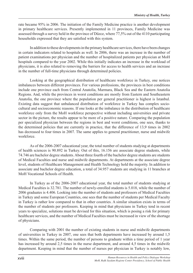rate became 95% in 2006. The initiation of the Family Medicine practice is another development in primary healthcare services. Presently implemented in 11 provinces, Family Medicine was assessed through a survey held in the province of Düzce, where 77,5% out of the 4110 participating households expressed that they are satisfied with this system.

In addition to these developments in the primary healthcare services, there have been changes in certain indicators related to hospitals as well. In 2006, there was an increase in the number of patient examinations per physician and the number of hospitalized patients per physician at MoH hospitals compared to the year 2002. While this initially indicates an increase in the workload of physicians, it is also related to removing the barriers for access to health services and an increase in the number of full-time physicians through determined policies.

Looking at the geographical distribution of healthcare workforce in Turkey, one notices imbalances between different provinces. For various professions, the provinces in best conditions include one province each from Central Anatolia, Marmara, Black Sea and the Eastern Anatolia Regions. And, while the provinces in worst conditions are mostly from Eastern and Southeastern Anatolia, the one province where the population per general practitioner is highest is Istanbul. Existing data suggest that unbalanced distribution of workforce in Turkey has complex sociocultural and socioeconomic reasons. If one looks at the imbalance in the distribution of healthcare workforce only from the MoH workforce perspective without including universities and private sector in the picture, the results appear to be more of a positive nature. Comparing the population per specialized physician between the regions in best and worst conditions, one sees, thanks to the determined policies that are currently in practice, that the difference of 13,9 times in 2002 has decreased to four times in 2007. The same applies to general practitioner, nurse and midwife workforce.

As of the 2006-2007 educational year, the total number of students studying at departments of health sciences is 90.892 in Turkey. Out of this, 16.156 are associate degree students, while 74.746 are bachelor degree students. About three fourth of the bachelor degree students are students of Medical Faculties and nurse and midwife departments. At departments at the associate degree level, students of Healthcare Management and Health Technology hold the majority. In addition to associate and bachelor degree education, a total of 34.957 students are studying in 11 branches at MoH Vocational Schools of Health.

In Turkey as of the 2006-2007 educational year, the total number of students studying at Medical Faculties is 32.781. The number of newly-enrolled students is 5.018, while the number of 2006 graduates is 4.406. Looking into the number of students and professors of Medical Faculties in Turkey and some European Countries, one sees that the number of students per Medical Faculty in Turkey is rather low compared to that in other countries. A similar situation exists in terms of the number of students per professors. Keeping in mind that physicians in Turkey tend in recent years to specialize, solutions must be devised for this situation, which is posing a risk for primary healthcare services, and the number of Medical Faculties must be increased in view of the shortage of physicians.

Comparing with 2001 the number of existing students in nurse and midwife departments of universities in Turkey in 2007, one sees that both departments have increased by around 1,5 times. Within the same period, the number of persons to graduate within a time period of 1 year has increased by around 2,5 times in the nurse department, and around 4,5 times in the midwife department. Keeping in mind that the number of nurses per physician in Turkey is notably low,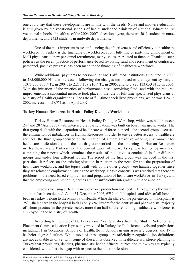one could say that these developments are in line with the needs. Nurse and midwife education is still given by the vocational schools of health under the Ministry of National Education. At vocational schools of health as of the 2006-2007 educational year, there are 5011 students in nurse departments, and 2423 students in midwife departments.

One of the most important issues influencing the effectiveness and efficiency of healthcare workforce in Turkey is the financing of workforce. From full-time or part-time employment of MoH physicians to new personnel recruitment, many issues are related to finance. Thanks to such policies as the recent practice of performance-based revolving fund and recruitment of contracted personnel, positive progress has been made in the financing of healthcare workforce.

While additional payments to personnel at MoH affiliated institutions amounted in 2003 to 485.000.000 NTL; it increased, following the changes introduced to the payment system, to 1.071.300.365 NTL in 2004, to 2.217.179.210 NTL in 2005, and to 2.923.133.053 NTL in 2006. With the initiation of the practice of performance-based revolving fund and with the required improvements, a substantial increase took place in the rate of full-time specialized physicians at Ministry of Health organizations. The rate of full-time specialized physicians, which was 11% in 2002 increased to 58,7% as of April 2007.

## **Turkey Human Resources in Health Policy Dialogue Workshop:**

Turkey Human Resources in Health Policy Dialogue Workshop, which was held between 24th and 28th April 2007 with inter-sectoral participation, was built on four main group works. The first group dealt with the adaptation of healthcare workforce to needs; the second group discussed the elimination of imbalances in Human Resources in order to ensure better access to healthcare services; the third group focused on the creation of a more attractive working environment for healthcare professionals; and the fourth group worked on the financing of Human Resources in Healthcare – and Partnership. The general report of the workshop was formed by means of combining the reports which contained the results of the activities conducted in four different groups and under four different topics. The report of the first group was included in the first part since it reflects on the existing situation in relation to the need for and the preparation of healthcare workforce, and the topics dealt with by the other groups were handled together since they are related to employment. During the workshop, a basic consensus was reached that there are problems in the need-based employment and preparation of healthcare workforce in Turkey, and that the employing and preparing parties are not sufficiently integrated with one another.

In studies focusing on healthcare workforce production and need in Turkey, firstly the current situation has been defined. As of 31 December 2006, 67% of all hospitals and 68% of all hospital beds in Turkey belong to the Ministry of Health. While the share of the private sector in hospitals is 25%, their share in the hospital beds is only 7%. Except for the dentists and pharmacists, majority of whom practice in the private sector, more than half of the remaining healthcare workforce is employed in the Ministry of Health.

According to the 2006-2007 Educational Year Statistics from the Student Selection and Placement Centre, education is presently provided in Turkey for 54 different levels and professions including 11 in Vocational Schools of Health, 26 in Schools giving associate degrees, and 17 in bachelor degree faculties. While most of these groups are officially recognized, job definitions are not available as of yet with some of these. It is observed in healthcare workforce planning in Turkey that physicians, dentists, pharmacists, health officers, nurses and midwives are typically considered, while there is a gap with respect to the other professions.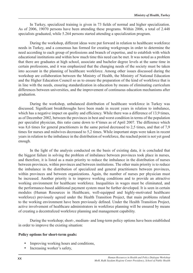In Turkey, specialized training is given in 73 fields of normal and higher specialization. As of 2006, 19070 persons have been attending these programs. Within 2006, a total of 2.448 specialists graduated, while 5.264 persons started attending a specialization program.

During the workshop, different ideas were put forward in relation to healthcare workforce needs in Turkey, and a consensus has formed for creating workgroups in order to determine the need according to each group of professions and branch of expertise, and to establish with which educational institutions and within how much time this need can be met. It was noted as a problem that there are graduates at high school, associate and bachelor degree levels at the same time in certain professions, and it was emphasized that the changing needs of the society must be taken into account in the planning of healthcare workforce. Among other issues discussed during the workshop are collaboration between the Ministry of Health, the Ministry of National Education and the Higher Education Council so as to ensure the preparation of the kind of workforce that is in line with the needs, ensuring standardization in education by means of eliminating curriculum differences between universities, and the improvement of continuous education mechanisms after graduation.

During the workshop, unbalanced distribution of healthcare workforce in Turkey was discussed. Significant breakthroughs have been made in recent years in relation to imbalance, which has a negative impact on quality and efficiency. While there was a difference of 13,9 times, as of December 2002, between the provinces in best and worst condition in terms of the population per specialist physician, this ratio came down to 4'times as of April 2007. The difference which was 8,6 times for general practitioners in the same period decreased to 2,5 times, and that of 7,9 times for nurses and midwives decreased to 5,2 times. While important steps were taken in recent years in relation to the imbalance in the distribution of workforce, the reached point is not yet good enough.

In the light of the analysis conducted on the basis of existing data, it is concluded that the biggest failure in solving the problem of imbalance between provinces took place in nurses, and therefore, it is listed as a main priority to reduce the imbalance in the distribution of nurses between provinces, within provinces and between institutions. The other main priority is to reduce the imbalance in the distribution of specialized and general practitioners between provinces, within provinces and between organizations. Again, the number of nurses per physician must be increased. Another priority is to improve working conditions and to provide an attractive working environment for healthcare workforce. Inequalities in wages must be eliminated, and the performance-based additional payment system must be further developed. It is seen in certain modules (Human Resources in Healthcare, well-equipped and highly-motivated healthcare workforce) previously agreed under the Health Transition Project, that main problems related to the working environment have been previously defined. Under the Health Transition Project, active involvement of healthcare administrators in workforce planning will be ensured by means of creating a decentralized workforce planning and management capability.

During the workshop; short-, medium- and long-term policy options have been established in order to improve the existing situation:

## **Policy options for short-term goals:**

- Improving working hours and conditions,
- Increasing worker's safety,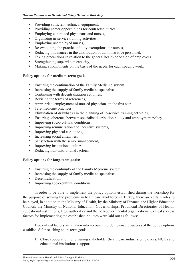- Providing sufficient technical equipment,
- Providing career opportunities for contracted nurses,
- Employing contracted physicians and nurses,
- • Organizing in-service training activities,
- Employing unemployed nurses,
- • Re-evaluating the practice of duty exemptions for nurses,
- Reducing imbalances in the distribution of administrative personnel,
- Taking precautions in relation to the general health condition of employees,
- Strengthening supervision capacity,
- Making appointments on the basis of the needs for each specific work.

## **Policy options for medium-term goals:**

- Ensuring the continuation of the Family Medicine system,
- Increasing the supply of family medicine specialists,
- • Continuing with decentralization activities,
- Revising the terms of references,
- Appropriate employment of unused physicians in the first step,
- Tele-medicine practices.
- • Elimination of drawbacks in the planning of in-service training activities,
- Ensuring coherence between specialist distribution policy and employment policy,
- Improving socio-cultural conditions,
- Improving remuneration and incentive systems,
- Improving physical conditions,
- Increasing social amenities,
- Satisfaction with the senior management,
- Improving institutional culture,
- Reducing non-institutional factors.

## **Policy options for long-term goals:**

- Ensuring the continuity of the Family Medicine system,
- Increasing the supply of family medicine specialists,
- Decentralization,
- Improving socio-cultural conditions.

In order to be able to implement the policy options established during the workshop for the purpose of solving the problems in healthcare workforce in Turkey, there are certain roles to be played, in addition to the Ministry of Health, by the Ministry of Finance, the Higher Education Council, the Ministry of National Education, Governorships, Provincial Directorates of Health, educational institutions, legal authorities and the non-governmental organizations. Critical success factors for implementing the established policies were laid out as follows:

Two critical factors were taken into account in order to ensure success of the policy options established for reaching short-term goals:

1. Close cooperation for ensuring stakeholder (healthcare industry employees, NGOs and educational institutions) support,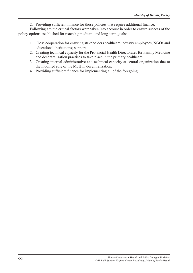2. Providing sufficient finance for those policies that require additional finance.

Following are the critical factors were taken into account in order to ensure success of the policy options established for reaching medium- and long-term goals:

- 1. Close cooperation for ensuring stakeholder (healthcare industry employees, NGOs and educational institutions) support,
- 2. Creating technical capacity for the Provincial Health Directorates for Family Medicine and decentralization practices to take place in the primary healthcare,
- 3. Creating internal administrative and technical capacity at central organization due to the modified role of the MoH in decentralization,
- 4. Providing sufficient finance for implementing all of the foregoing.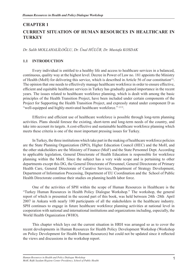## **CHAPTER 1 CURRENT SITUATION OF HUMAN RESOURCES IN HEALTHCARE IN TURKEY**

## *Dr. Salih MOLLAHALİLOĞLU, Dr. Ünal HÜLÜR, Dr. Mustafa KOSDAK*

## **1.1 INTRODUCTION**

Every individual is entitled to a healthy life and access to healthcare services in a balanced, continuous, quality way at the highest level. Decree in Power of Law no. 181 appoints the Ministry of Health (MoH) for delivering this service, which is described in Article 56 of our constitution(1). The opinion that one needs to effectively manage healthcare workforce in order to ensure effective, efficient and equitable healthcare services in Turkey has gradually gained importance in the recent years. The issues related to healthcare workforce planning, which is dealt with among the basic principles of the Health Transition Project, have been included under certain components of the Project for Supporting the Health Transition Project, and expressly stated under component D as "well-equipped and highly-motivated healthcare workforce." (2,3).

Effective and efficient use of healthcare workforce is possible through long-term planning activities. Plans should foresee the existing, short-term and long-term needs of the country, and take into account its targets. A cost-effective and sustainable healthcare workforce planning which meets these criteria is one of the most important pressing issues for Turkey.

In Turkey, the three institutions which take part in the making of healthcare workforce policies are the State Planning Organization (SPO), Higher Education Council (HEC) and the MoH, and the other stakeholders are the Ministry of Finance (MoF) and the State Personnel Dept. According to applicable legislation, General Directorate of Health Education is responsible for workforce planning within the MoH. Since the subject has a very wide scope and is pertaining to other departments except this DG, the General Directorate of Personnel, General Directorate of Primary Health Care, General Directorate of Curative Services, Department of Strategy Development, Department of Information Processing, Department of EU Coordination and the School of Public Health Directorate continue their studies on planning health labor force.

One of the activities of SPH within the scope of Human Resources in Healthcare is the "Turkey Human Resources in Health Policy Dialogue Workshop." The workshop, the general report of which is presented in the second part of this book, was held between 24th -28th April 2007 in Ankara with nearly 100 participants of all the stakeholders in the healthcare industry. SPH continues to engage in future healthcare workforce planning activities at national level in cooperation with national and international institutions and organizations including, especially, the World Health Organization (WHO).

This chapter which lays out the current situation in HRH was arranged so as to cover the recent developments in Human Resources for Health Policy Development Workshop (Workshop on Policy Development for Health Human Resources) but could not be updated since it reflected the views and discussions in the workshop report.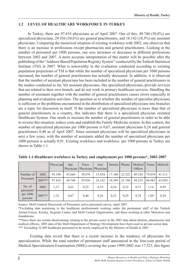## **1.2 LEVEL OF HEALTHCARE WORKFORCE IN TURKEY**

In Turkey, there are 97.818 physicians as of April 2007. Out of this, 49.740 (50,8%) are specialized physicians, 29.936 (30,6%) are general practitioners, and 18.142 (18,5%) are assistant physicians. Comparing the numerical situation of existing workforce with 2002, one observes that there is an increase in professions except pharmacists and general practitioners. Looking at the number of personnel per 1000 persons, one sees increases or decreases in different professions between 2002 and 2007. A more accurate interpretation of this matter will be possible after the publishing of the "Address-Based Population Registry System" conducted by the Turkish Statistical Institute (TSI) in 2007. What is noteworthy in the evaluation conducted according to existing population projections of TSI is that while the number of specialized physicians per 1000 persons increased, the number of general practitioners has actually decreased. In addition, it is observed that the number of assistant physicians has been included in the number of general practitioners in the studies conducted so far. Yet assistant physicians, like specialized physicians, provide services that are related to their own branch, and do not work in primary healthcare services. Handling the number of assistants together with the number of general practitioners causes errors especially in planning and evaluation activities. The question as to whether the number of specialist physicians is sufficient or the problems encountered in the distribution of specialized physicians into branches are a topic for discussion in itself. If the number of specialized physicians is more than that of general practitioners in a country, this indicates that there is a specialized physician oriented Healthcare System. One needs to increase the number of general practitioners in order to be able to reverse this situation, reduce costs and establish the Family Medicine system. In this context, the number of specialized physicians per 1000 persons is 0,67, assistant physicians 0,24 and general practitioners 0,40 as of April 2007. Since assistant physicians will be specialized physicians in next a few years, with the number of assistants added the number of specialized physicians per 1000 persons is actually 0,91. Existing workforce and workforce per 1000 persons in Turkey are shown in Table 1.1.

|                                            |          | Physician | Spc.<br>Physician | Pract.<br>Physician | Asst.<br>Physician | Dentist | Pharm. | Medical<br>Officer | <b>Nurse</b> | Midwife |
|--------------------------------------------|----------|-----------|-------------------|---------------------|--------------------|---------|--------|--------------------|--------------|---------|
| Number of<br>Personnel                     | 2002     | 95.190    | 43.660            | 38.076              | 13.454             | 17.108  | 22.322 | 49.324             | 79.059       | 41.513  |
|                                            | $2007**$ | 97.818    | 49.740            | 29.936              | 18.142             | 18.599  | 21.748 | 58.255             | 80.985       | 43.050  |
| No. of<br>personnel<br>per 1000<br>persons | 2002     | 1,37      | 0,63              | 0,55                | 0.19               | 0.24    | 0,32   | 0,71               | 1.14         | 0,59    |
|                                            | $2007**$ | 1,32      | 0,67              | 0,40                | 0.24               | 0.25    | 0.29   | 0.78               | 1,09         | 0,58    |

| Table 1.1:Healthcare workforce in Turkey and employment per 1000 persons*, 2002-2007 |  |  |  |  |
|--------------------------------------------------------------------------------------|--|--|--|--|
|--------------------------------------------------------------------------------------|--|--|--|--|

Source: MoH General Directorate of Personnel, active personnel survey, April 2007.

\*Excluding data pertaining to the healthcare professionals working under the permanent staff of the Turkish Armed Forces, Kızılay, Hygiene Center, and MoH Central Organization, and those working at other Ministries and foundations.

**\*\***Since there are certain shortcomings relating to the private sector in the 2007 data about dentists, pharmacists and medical officers, 2005 data of the MoH Department of Strategy Development have been used as private sector data. \*\*\* Excluding 32.449 healthcare personnel to be newly employed by the Ministry of Health in 2007.

Existing data reveal that there is a recent increase in the tendency of physicians for specialization. While the total number of permanent staff announced in the four-year period of Medical Specialization Examination (MSE) covering the years 1999-2002 was 17.523, this figure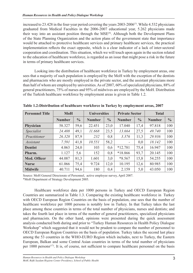increased to 23.428 in the four-year period covering the years 2003-2006(1). While 4.532 physicians graduated from Medical Faculties in the 2006-2007 educational year, 5.262 physicians made their way into an assistant position through the MSE(9). Although both the Development Plans of the State Planning Organization and the action plans of the government state that importance would be attached to protective healthcare services and primary healthcare services, the practical implementation reflects the exact opposite, which is a clear indicator of a lack of inter-sectoral cooperation and coordination. This situation, which we will touch upon again in the section related to the education of healthcare workforce, is regarded as an issue that might pose a risk in the future in terms of primary healthcare services.

Looking into the distribution of healthcare workforce in Turkey by employment areas, one sees that a majority of such population is employed by the MoH with the exception of the dentists and pharmacists who are mostly employed in the private sector, and the assistant physicians more than half of whom are employed by universities. As of 2007, 60% of specialized physicians, 88% of general practitioners, 75% of nurses and 95% of midwives are employed by the MoH. Distribution of the Turkish healthcare workforce by employment areas is given in Table 1.2.

| <b>Personnel Title</b> | <b>MoH</b>    |               | <b>Universities</b> |               | <b>Private Sector</b>    |               | <b>Total</b>  |               |
|------------------------|---------------|---------------|---------------------|---------------|--------------------------|---------------|---------------|---------------|
|                        | <b>Number</b> | $\frac{0}{0}$ | <b>Number</b>       | $\frac{0}{0}$ | <b>Number</b>            | $\frac{0}{0}$ | <b>Number</b> | $\frac{0}{0}$ |
| Physician              | 58.327        | 59,6          | 22.451              | 23,0          | 17.040                   | 17,4          | 97.818        | 100           |
| Specialist             | 24.408        | 49,1          | 11.668              | 23,5          | 13.664                   | 27,5          | 49.740        | 100           |
| Practitioner           | 26.328        | 87,9          | 232                 | 0,8           | 3.376                    | 11,3          | 29.936        | 100           |
| <i>Assistant</i>       | 7.591         | 41,8          | 10.551              | 58,2          | $\overline{\phantom{a}}$ | 0,0           | 18.142        | 100           |
| <b>Dentist</b>         | 4.063         | 24,0          | 103                 | 0,6           | $*12.781$                | 75,4          | 16.947        | 100           |
| Pharm.                 | 1.127         | 5,6           | 152                 | 0,8           | $*18.866$                | 93,7          | 20.145        | 100           |
| Med. Officer           | 44.087        | 81,3          | 1.601               | 3,0           | $*8.567$                 | 15,8          | 54.255        | 100           |
| <b>Nurse</b>           | 61.066        | 75,4          | 9.724               | 12,0          | 10.195                   | 12,6          | 80.985        | 100           |
| <b>Midwife</b>         | 40.711        | 94,6          | 180                 | 0.4           | 2.159                    | 5,0           | 43.050        | 100           |

**Table 1.2:Distribution of healthcare workforce in Turkey by employment areas, 2007**

Source: MoH General Directorate of Personnel, active employee survey, April 2007. \*MoH Department of Strategy Development 2005.

Healthcare workforce data per 1000 persons in Turkey and OECD European Region Countries are summarized in Table 1.3. Comparing the existing healthcare workforce in Turkey with OECD European Region Countries on the basis of population, one sees that the number of healthcare workforce per 1000 persons is notably low in Turkey. In that Turkey takes the last place among these countries in terms of the total number of physicians, nurses and dentists; and takes the fourth last place in terms of the number of general practitioners, specialized physicians and pharmacists. On the other hand, opinions were presented during the quick assessment analysis conducted both during and prior to "Turkey Human Resources in Health Policy Dialogue Workshop" which suggested that it would not be prudent to compare the number of personnel to OECD European Region Countries on the basis of population. Turkey takes the second last place among the 53 countries in the WHO-EURO Region which includes, next to Turkey, the Eastern European, Balkan and some Central Asian countries in terms of the total number of physicians per 1000 persons<sup>(17)</sup>. It is, of course, not sufficient to compare healthcare personnel on the basis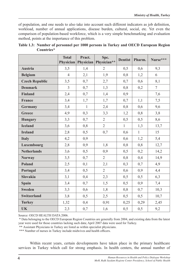of population, and one needs to also take into account such different indicators as job definition, workload, number of annual applications, disease burden, cultural, social, etc. Yet even the comparison of population-based workforce, which is a very simple benchmarking and evaluation method, points at the importance of this problem.

|                       | <b>Total</b>   | Pract.       | Spc.<br>Physician   Physician   Physician** | <b>Dentist</b> | Pharm.       | Nurse***       |
|-----------------------|----------------|--------------|---------------------------------------------|----------------|--------------|----------------|
| <b>Austria</b>        | 3,5            | 1,4          | $\overline{2}$                              | 0,5            | 0,6          | 9,3            |
| <b>Belgium</b>        | $\overline{4}$ | 2,1          | 1,9                                         | 0,8            | 1,2          | 6              |
| <b>Czech Republic</b> | 3,5            | 0,7          | 2,7                                         | 0,7            | 0,6          | 8,1            |
| <b>Denmark</b>        | $\overline{3}$ | 0,7          | 1,3                                         | 0,8            | 0,2          | $\overline{7}$ |
| <b>Finland</b>        | 2,4            | 0,7          | 1,4                                         | 0,9            |              | 7,6            |
| France                | 3,4            | 1,7          | 1,7                                         | 0,7            | 1,1          | 7,5            |
| Germany               | 3,4            | $\mathbf{1}$ | 2,4                                         | 0,8            | 0,6          | 9,6            |
| <b>Greece</b>         | 4,9            | 0,3          | 3,3                                         | 1,2            | 0,8          | 3,8            |
| <b>Hungary</b>        | 3,3            | 0,7          | $\overline{2}$                              | 0,5            | 0,5          | 8,6            |
| <b>Iceland</b>        | 3,6            | 0,8          | $\overline{2}$                              | $\mathbf{1}$   | 1,3          | 13,7           |
| <b>Ireland</b>        | 2,8            | 0,5          | 0,7                                         | 0,6            | $\mathbf{1}$ | 15             |
| <b>Italy</b>          | 4,2            | 0,9          |                                             | 0,6            | 1,2          | 5,4            |
| Luxembourg            | 2,8            | 0,9          | 1,8                                         | 0,8            | 0,8          | 12,7           |
| <b>Netherlands</b>    | 3,6            | 0,5          | 0,9                                         | 0,5            | 0,2          | 14,2           |
| <b>Norway</b>         | 3,5            | 0,7          | $\overline{2}$                              | 0,8            | 0,4          | 14,9           |
| <b>Poland</b>         | 2,5            | 0,1          | 2,1                                         | 0,3            | 0,7          | 4,9            |
| Portugal              | 3,4            | 0,5          | $\overline{2}$                              | 0,6            | 0,9          | 4,4            |
| <b>Slovakia</b>       | 3,1            | 0,4          | 2,3                                         | 0,5            | 0,5          | 6,3            |
| <b>Spain</b>          | 3,4            | 0,7          | 1,5                                         | 0,5            | 0,9          | 7,4            |
| <b>Sweden</b>         | 3,3            | 0,6          | 1,8                                         | 0,8            | 0,7          | 10,3           |
| <b>Switzerland</b>    | 3,8            | 0,5          | 2,5                                         | 0,5            | 0,5          | 10,7           |
| <b>Turkey</b>         | 1,32           | 0,4          | 0,91                                        | 0,25           | 0,29         | 2,45           |
| <b>UK</b>             | 2,3            | 0,7          | 1,6                                         | 0,5            | 0,5          | 9,2            |

**Table 1.3: Number of personnel per 1000 persons in Turkey and OECD European Region Countries\***

Source: OECD HEALTH DATA 2006.

 \* Data belonging to the OECD European Region Countries are generally from 2004, and existing data from the latest year were used for those countries lacking such data; April 2007 data were used for Turkey.

 **\*\*** Assistant Physicians in Turkey are listed as within specialist physicians.

 **\*\*\*** Number of nurses in Turkey include midwives and health officers.

Within recent years, certain developments have taken place in the primary healthcare services in Turkey which call for strong emphasis. In health centers, the annual number of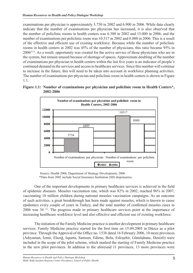examinations per physician is approximately 3.750 in 2002 and 6.900 in 2006. While data clearly indicate that the number of examinations per physician has increased, it is also observed that the number of policlinic rooms in health centers was 6.300 in 2002 and 15.000 in 2006; and the number of examinations per policlinic room was 10.317 in 2002 and 8.000 in 2006. This is a result of the effective and efficient use of existing workforce. Because while the number of policlinic rooms in health centers in 2002 was 45% of the number of physicians, this ratio became 95% in  $2006<sup>(5,1)</sup>$ . As a result, opportunity was created for the active service of those physicians who are in the system, but remain unused because of shortage of spaces. Approximate doubling of the number of examinations per physician in health centers within the last five years is an indicator of people's continued demand in the services and access to healthcare services. Since this number will continue to increase in the future, this will need to be taken into account in workforce planning activities. The number of examinations per physician and policlinic room in health centers is shown in Figure 1.1.





 Source: Health 2006, Department of Strategy Development, 2006 \*Data from 2002 include Social Insurance Institution (SII) dispensaries.

One of the important developments in primary healthcare services is achieved in the field of epidemic diseases. Measles vaccination rate, which was 82% in 2002, reached 96% in 2007, vaccinating 18 million children during national measles vaccination campaigns. As an outcome of such activities, a great breakthrough has been made against measles, which is known to cause epidemics every couple of years in Turkey, and the total number of confirmed measles cases in 2006 was 34 (1). The progress made in primary healthcare services point at the importance of increasing healthcare workforce level and also effective and efficient use of existing workforce.

The initiation of the Family Medicine practice is another development in primary healthcare services. Family Medicine practice started for the first time on 15.09.2005 in Düzce as a pilot province. Through the Approval of the Office no. 1538 dated 16 February 2006, 10 more provinces (Adıyaman, İzmir, Elazığ, Isparta, Samsun, Edirne, Bolu, Eskişehir, Gümüşhane, Denizli) were included in the scope of the pilot scheme, which marked the starting of Family Medicine practice in the new pilot provinces. In addition to the aforesaid 11 provinces, 13 more provinces were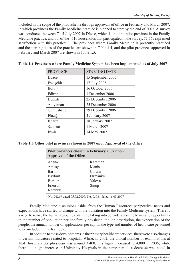included in the scope of the pilot scheme through approvals of office in February and March 2007, in which provinces the Family Medicine practice is planned to start by the end of 2007. A survey was conducted between 7-15 July 2007 in Düzce, which is the first pilot province in the Family Medicine practice, and out of the 4110 households that participated in the survey, 77,5% expressed satisfaction with this practice<sup>(15)</sup>. The provinces where Family Medicine is presently practiced and the starting dates of the practice are shown in Table 1.4, and the pilot provinces approved in February and March 2007 are shown in Table 1.5.

| <b>PROVINCE</b> | <b>STARTING DATE</b> |
|-----------------|----------------------|
| Düzce           | 15 September 2005    |
| Eskişehir       | 17 July 2006         |
| Bolu            | 16 October 2006      |
| Edirne          | 1 December 2006      |
| Denizli         | 25 December 2006     |
| Adıyaman        | 25 December 2006     |
| Gümüşhane       | 29 December 2006     |
| Elazığ          | 4 January 2007       |
| Isparta         | 18 January 2007      |
| Samsun          | 1 March 2007         |
| Izmir           | 14 May 2007          |

## **Table 1.4:Provinces where Family Medicine System has been implemented as of July 2007**

**Table 1.5:Other pilot provinces chosen in 2007 upon Approval of the Office**

| Pilot provinces chosen in February 2007 upon<br><b>Approval of the Office</b> |          |  |  |
|-------------------------------------------------------------------------------|----------|--|--|
| Adana                                                                         | Karaman  |  |  |
| Amasya                                                                        | Manisa   |  |  |
| Bartin                                                                        | Corum    |  |  |
| Bayburt                                                                       | Osmaniye |  |  |
| <b>Burdur</b>                                                                 | Yalova   |  |  |
| Erzurum                                                                       | Sinop    |  |  |
| Karabük                                                                       |          |  |  |

\* No. 01269 dated 05.02.2007; No. 03031 dated 16.03.2007

Family Medicine discussions aside, from the Human Resources perspective, needs and expectations have started to change with the transition into the Family Medicine system. There is a need to revise the human resources planning taking into consideration the lower and upper limits in the number of population per one family physician, the job description, the expectation of the people, the annual number of applications per capita, the type and number of healthcare personnel to be included in the team, etc.

In addition to these developments in the primary healthcare services, there were also changes in certain indicators related to hospitals. While, in 2002, the annual number of examinations at MoH hospitals per physician was around 3.400, this figure increased to 4.800 in 2006; while there is a slight increase in University Hospitals in the same period, a decrease was noted in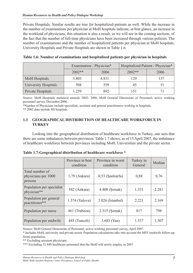Private Hospitals. Similar results are true for hospitalized patients as well. While the increase in the number of examinations per physician at MoH hospitals indicate, at first glance, an increase in the workload of physicians, this situation is also a result, as we will see in the coming sections, of the fact that the number of full-time physicians have been increased through various policies. The number of examinations and the number of hospitalized patients per physician at MoH hospitals, University Hospitals and Private Hospitals are shown in Table 1.6.

|                      |          | Examination / Physician* | Hospitalized Patient / Physician* |      |  |
|----------------------|----------|--------------------------|-----------------------------------|------|--|
|                      | $2002**$ | 2006                     | $2002**$                          | 2006 |  |
| <b>MoH</b> Hospitals | 3.403    | 4.831                    | 129                               | 137  |  |
| University Hospitals | 508      | 559                      |                                   |      |  |
| Private Hospitals    | 259      | 892                      |                                   |      |  |

**Table 1.6: Number of examinations and hospitalized patients per physician in hospitals**

Source: MoH Hospitals statistical annuals 2002- 2006, MoH General Directorate of Personnel, active working personnel survey, December 2006.

**\***Number of Physicians include specialists, assistant and general practitioners working in hospitals. **\*\*** 2002 data include SII hospitals.

## **1.3 GEOGRAPHICAL DISTRIBUTION OF HEALTHCARE WORKFORCE IN TURKEY**

Looking into the geographical distribution of healthcare workforce in Turkey, one sees that there are some imbalances between provinces. Table 1.7 shows, as of 15 April 2007, the imbalance of healthcare workforce between provinces including MoH, Universities and the private sector.

| Table 1.7: Geographical distribution of healthcare workforce * |  |  |  |  |  |  |  |
|----------------------------------------------------------------|--|--|--|--|--|--|--|
|----------------------------------------------------------------|--|--|--|--|--|--|--|

|                                                   | Province in best<br>condition | Province in worst<br>condition | Turkey in<br>General | Median |
|---------------------------------------------------|-------------------------------|--------------------------------|----------------------|--------|
| Total number of<br>physicians per 1000<br>persons | $1,79$ (Ankara)               | $0,53$ (Sanlurfa)              | 0,88                 | 0,76   |
| Population per specialist<br>physician**          | 542 (Ankara)                  | 4.408 (Şırnak)                 | 1.331                | 2.281  |
| Population per general<br>practitioner**          | 1.574 (Yalova)                | $3.026$ (Istanbul)             | 2.221                | 2.169  |
| Population per nurse                              | 461 (Trabzon)                 | $2.315$ (Sirnak)               | 817                  | 798    |
| Population per midwife                            | 445 (Tunceli)                 | $3.683$ (Van)                  | 1.537                | 1.307  |

Source: MoH General Directorate of Personnel, active working personnel survey, April 2007.

**\*** Includes MoH, university and private sector. Population calculations take into account the MFF (midwife follow-up form) population.

**\*\*** Excluding assistant physicians.

\*\*\* Excluding 32.449 healthcare personnel that the MoH will newly employ in 2007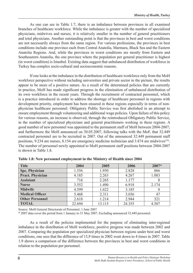As one can see in Table 1.7, there is an imbalance between provinces in all examined branches of healthcare workforce. While the imbalance is greater with the number of specialized physicians, midwives and nurses, it is relatively smaller in the number of general practitioners and total physicians. Another outstanding point is that the provinces in best and worst conditions are not necessarily always from the same region. For various professions, the provinces in best conditions include one province each from Central Anatolia, Marmara, Black Sea and the Eastern Anatolia Regions. And, while the provinces in worst conditions are mostly from Eastern and Southeastern Anatolia, the one province where the population per general practitioner is highest (in worst condition) is Istanbul. Existing data suggest that unbalanced distribution of workforce in Turkey has complex socio-cultural and socioeconomic reasons.

If one looks at the imbalance in the distribution of healthcare workforce only from the MoH workforce perspective without including universities and private sector in the picture, the results appear to be more of a positive nature. As a result of the determined policies that are currently in practice, MoH has made significant progress in the elimination of unbalanced distribution of its own workforce in the recent years. Through the recruitment of contracted personnel, which is a practice introduced in order to address the shortage of healthcare personnel in regions with development priority, employment has been ensured in these regions especially in terms of nonphysician healthcare personnel. Obligatory Public Service was first abolished in an attempt to ensure employment through volunteering and additional wage policies. Upon failure of this policy for various reasons, an increase is observed, through the reintroduced Obligatory Public Service, in the number of specialized physicians and general practitioners working in these regions. A good number of new personnel was appointed to the permanent staff of MoH between 2004-2007; and furthermore the MoH announced on 30.05.2007, following talks with the MoF, that 32.449 contracted personnel are to be recruited in 2007. Out of the announced 32.449 permanent staff positions, 9.234 are nurses, 8.154 are emergency medicine technician and 3.874 are midwives<sup> $(14)$ </sup>. The number of personnel newly appointed to MoH permanent staff positions between 2004-2007 is shown in Table 1.8.

| <b>Title</b>           | 2004   | 2005   | 2006   | $2007*$ |
|------------------------|--------|--------|--------|---------|
| <b>Spc. Physician</b>  | 1.556  | 1.950  | 2.828  | 866     |
| Pract. Physician       | 4.185  | 2.263  | 4.267  | 1.083   |
| <b>Assistant</b>       | 716    | 2.265  | 1.177  |         |
| <b>Nurse</b>           | 3.552  | 1.490  | 6.918  | 2.174   |
| <b>Midwife</b>         | 4.599  | 1.622  | 3.185  |         |
| <b>Medical Officer</b> | 5.468  | 2.311  | 3.036  | 47      |
| <b>Other Personnel</b> | 2.618  | 1.214  | 2.944  | 321     |
| <b>TOTAL</b>           | 22.694 | 13.115 | 24.355 | 4.507   |

**Table 1.8: New personnel employment in the Ministry of Health since 2004**

Source: MoH General Directorate of Personnel, 1 June 2007

\* 2007 data cover the period from 1 January to 31 May 2007. Excluding announced 32.449 personnel.

As a result of the policies implemented for the purpose of eliminating inter-regional imbalance in the distribution of MoH workforce, positive progress was made between 2002 and 2007. Comparing the population per specialized physician between regions under best and worst conditions, one sees that the difference of 13,9 times in 2002 went down to 4 times in 2007. Table 1.9 shows a comparison of the difference between the provinces in best and worst conditions in relation to the population per personnel.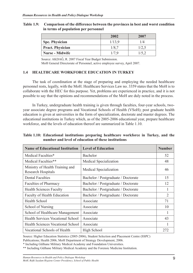## **Table 1.9: Comparison of the difference between the provinces in best and worst condition in terms of population per personnel**

|                         | 2002   | 2007  |
|-------------------------|--------|-------|
| <b>Spc. Physician</b>   | 1/13,9 | 1/4   |
| <b>Pract. Physician</b> | 1/8,7  | 1/2,5 |
| <b>Nurse - Midwife</b>  | 1/79   | 1/5,2 |

Source: AKDAĞ, R. 2007 Fiscal Year Budget Submission.

MoH General Directorate of Personnel, active employee survey, April 2007.

## **1.4 HEALTHCARE WORKFORCE EDUCATION IN TURKEY**

The task of coordination at the stage of preparing and employing the needed healthcare personnel rests, legally, with the MoH. Healthcare Services Law no. 3359 states that the MoH is to collaborate with the HEC for this purpose. Yet, problems are experienced in practice, and it is not possible to say that the opinions and recommendations of the MoH are duly noted in the process.

In Turkey, undergraduate health training is given through faculties, four-year schools, twoyear associate degree programs and Vocational Schools of Health (VSoH); post graduate health education is given at universities in the form of specialization, doctorate and master degrees. The educational institutions in Turkey which, as of the 2005-2006 educational year, prepare healthcare workforce, and the levels of education thereof are summarized in Table 1.10.

| <b>Name of Educational Institution</b>                       | <b>Level of Education</b>           | <b>Number</b>  |
|--------------------------------------------------------------|-------------------------------------|----------------|
| Medical Faculties*                                           | Bachelor                            | 52             |
| Medical Faculties**                                          | <b>Medical Specialization</b>       | 48             |
| Ministry of Health Training and<br><b>Research Hospitals</b> | <b>Medical Specialization</b>       | 46             |
| <b>Dental Faculties</b>                                      | Bachelor / Postgraduate / Doctorate | 15             |
| <b>Faculties of Pharmacy</b>                                 | Bachelor / Postgraduate / Doctorate | 12             |
| <b>Health Sciences Faculty</b>                               | Bachelor / Postgraduate / Doctorate | 1              |
| Faculty of Health Education                                  | Bachelor / Postgraduate / Doctorate | $\overline{2}$ |
| <b>Health School</b>                                         | Associate                           | 71             |
| School of Nursing                                            | Associate                           | 10             |
| School of Healthcare Management                              | Associate                           |                |
| <b>Health Services Vocational School</b>                     | Associate                           | 43             |
| <b>Health Sciences Vocational School</b>                     | Associate                           |                |
| Vocational Schools of Health                                 | High School                         | 272            |

**Table 1.10: Educational institutions preparing healthcare workforce in Turkey, and the number and level of education of these institutions**

Source: Higher Education Statistics (2005-2006), Student Selection and Placement Centre (SSPC) Publications; Health 2006, MoH Department of Strategy Development, 2006.

\* Including Gülhane Military Medical Academy and Foundation Universities.

\*\* Including Gülhane Military Medical Academy and the Forensic Medicine Institution.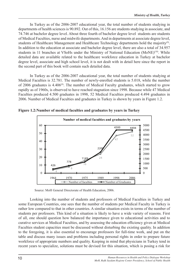In Turkey as of the 2006-2007 educational year, the total number of students studying in departments of health sciences is 90.892. Out of this, 16.156 are students studying in associate, and 74.746 at bachelor degree level. About three fourth of bachelor degree level students are students of Medical Faculties, nurse and midwife departments. And in departments at associate degree level, students of Healthcare Management and Healthcare Technology departments hold the majority<sup>(9)</sup>. In addition to the education at associate and bachelor degree level, there are also a total of 34.957 students in 11 branches at VSoHs under the Ministry of National Education  $(MoNE)^{(10)}$ . While detailed data are available related to the healthcare workforce education in Turkey at bachelor degree level, associate and high school level, it is not dealt with in detail here since the report in the second part of this book will contain such detailed data.

In Turkey as of the 2006-2007 educational year, the total number of students studying at Medical Faculties is 32.781. The number of newly-enrolled students is 5.018, while the number of 2006 graduates is  $4.406^{(9)}$ . The number of Medical Faculty graduates, which started to grow rapidly as of 1960s, is observed to have reached stagnation since 1998. Because while 47 Medical Faculties produced 4.500 graduates in 1998, 52 Medical Faculties produced 4.494 graduates in 2006. Number of Medical Faculties and graduates in Turkey is shown by years in Figure 1.2.



**Figure 1.2:Number of medical faculties and graduates by years in Turkey**

Source: MoH General Directorate of Health Education, 2006.

Looking into the number of students and professors of Medical Faculties in Turkey and some European Countries, one sees that the number of students per Medical Faculty in Turkey is rather low compared to that in other countries. A similar situation exists in terms of the number of students per professors. This kind of a situation is likely to have a wide variety of reasons. First of all, one should question how balanced the importance given to educational activities and to curative services at Medical Faculties, and by assessing the education efficiency given at Medical Faculties student capacities must be discussed without disturbing the existing quality. In addition to the foregoing, it is also essential to encourage professors for full-time work, and put on the table and discuss many issues and problems including personal rights in order to prepare future workforce of appropriate numbers and quality. Keeping in mind that physicians in Turkey tend in recent years to specialize, solutions must be devised for this situation, which is posing a risk for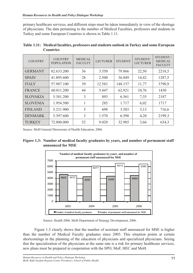primary healthcare services, and different steps must be taken immediately in view of the shortage of physicians. The data pertaining to the number of Medical Faculties, professors and students in Turkey and some European Countries is shown in Table 1.11.

| <b>COUNTRY</b>  | <b>COUNTRY</b><br><b>POPULATION</b> | <b>MEDICAL</b><br><b>FACULTY</b> | <b>LECTURER</b> | <b>STUDENT</b> | STUDENT/<br><b>LECTURER</b> | STUDENT/<br><b>MEDICAL</b><br><b>FACULTY</b> |
|-----------------|-------------------------------------|----------------------------------|-----------------|----------------|-----------------------------|----------------------------------------------|
| <b>GERMANY</b>  | 82.633.200                          | 36                               | 3.550           | 79.866         | 22,50                       | 2218,5                                       |
| <b>SPAIN</b>    | 41.895.600                          | 28                               | 2.500           | 36.049         | 14,42                       | 1287,5                                       |
| <b>ITALY</b>    | 57.987.100                          | 39                               | 12.583          | 148.157        | 11,77                       | 3798,9                                       |
| <b>FRANCE</b>   | 60.011.200                          | 44                               | 5.847           | 62.921         | 10,76                       | 1430                                         |
| <b>SLOVAKIA</b> | 5.381.200                           | $\overline{3}$                   | 893             | 6.561          | 7,35                        | 2187                                         |
| <b>SLOVENIA</b> | 1.954.500                           | 1                                | 285             | 1.717          | 6,02                        | 1717                                         |
| <b>FINLAND</b>  | 5.231.900                           | 5                                | 698             | 3.583          | 5,13                        | 716,6                                        |
| <b>DENMARK</b>  | 5.397.600                           | 3                                | 1.570           | 6.598          | 4,20                        | 2199,3                                       |
| <b>TURKEY</b>   | 72.000.000                          | 52                               | 9.020           | 32.985         | 3,66                        | 634,3                                        |

**Table 1.11: Medical faculties, professors and students outlook in Turkey and some European Countries**

Source: MoH General Directorate of Health Education, 2006.





Source: Health 2006, MoH Department of Strategy Development, 2006.

Figure 1.3 clearly shows that the number of assistant staff announced for MSE is higher than the number of Medical Faculty graduates since 2003. This situation points at certain shortcomings in the planning of the education of physicians and specialized physicians. Seeing that the specialization of the physicians at the same rate is a risk for primary healthcare services, new plans must be prepared in cooperation with the SPO, MoF, HEC and MoH.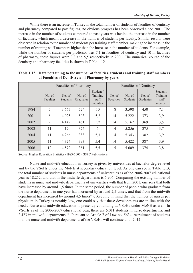While there is an increase in Turkey in the total number of students of faculties of dentistry and pharmacy compared to past figures, no obvious progress has been observed since 2001. The increase in the number of students compared to past years was behind the increase in the number of faculties, which meant a decrease in the number of students per faculty. Similar results were observed in relation to the number of students per training staff member, making the increase in the number of training staff members higher than the increase in the number of students. For example, while the number of students per professor was 7,1 in faculties of dentistry and 10 in faculties of pharmacy, these figures were 3,8 and 5,5 respectively in 2006. The numerical course of the dentistry and pharmacy faculties is shown in Table 1.12.

| <b>Faculties of Pharmacy</b> |                            |                           |                            | <b>Faculties of Dentistry</b>            |                            |                           |                            |                                          |
|------------------------------|----------------------------|---------------------------|----------------------------|------------------------------------------|----------------------------|---------------------------|----------------------------|------------------------------------------|
|                              | No. of<br><b>Faculties</b> | No. of<br><b>Students</b> | No. of<br><b>Graduates</b> | Student /<br>Training<br>staff<br>member | No. of<br><b>Faculties</b> | No. of<br><b>Students</b> | No. of<br><b>Graduates</b> | Student /<br>Training<br>staff<br>member |
| 1984                         | 7                          | 3.667                     | 524                        | 10                                       | 8                          | 3.598                     | 450                        | 7,1                                      |
| 2001                         | 8                          | 4.025                     | 503                        | 5,2                                      | 14                         | 5.222                     | 373                        | 3,9                                      |
| 2002                         | 9                          | 4.149                     | 461                        | 5,2                                      | 14                         | 5.167                     | 369                        | 3,5                                      |
| 2003                         | 11                         | 4.120                     | 375                        | 5                                        | 14                         | 5.256                     | 375                        | 3,7                                      |
| 2004                         | 11                         | 4.266                     | 388                        | 5,3                                      | 14                         | 5.343                     | 382                        | 3,9                                      |
| 2005                         | 11                         | 4.324                     | 393                        | 5,4                                      | 14                         | 5.422                     | 387                        | 3,9                                      |
| 2006                         | 12                         | 4.572                     | 381                        | 5,5                                      | 15                         | 5.609                     | 374                        | 3,8                                      |

#### **Table 1.12: Data pertaining to the number of faculties, students and training staff members at Faculties of Dentistry and Pharmacy by years**

Source: Higher Education Statistics (1983-2006), SSPC Publications

Nurse and midwife education in Turkey is given by universities at bachelor degree level and by the VSoHs under the MoNE at secondary education level. As one can see in Table 1.13, the total number of students in nurse departments of universities as of the 2006-2007 educational year is 18.252, and that in the midwife departments is 5.906. Comparing the existing number of students in nurse and midwife departments of universities with that from 2001, one sees that both have increased by around 1,5 times. In the same period, the number of people who graduate from the nurse department in one year has increased by around 2,5 times, and that from the midwife department has increased by around 4,5 times<sup>(11)</sup>. Keeping in mind that the number of nurses per physician in Turkey is notably low, one could say that these developments are in line with the needs. Nurse and midwife education is presently continuing at VSoHs under MoNE as well. In VSoHs as of the 2006-2007 educational year, there are 5.011 students in nurse departments, and 2.423 in midwife departments<sup>(10)</sup>. Pursuant to Article 7 of Law no. 5634, recruitment of students into the nurse and midwife departments of the VSoHs will continue until 2012.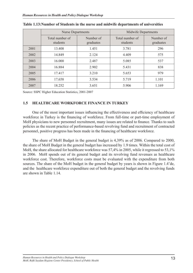|      | <b>Nurse Departments</b>    |                        | Midwife Departments         |                        |  |
|------|-----------------------------|------------------------|-----------------------------|------------------------|--|
|      | Total number of<br>students | Number of<br>graduates | Total number of<br>students | Number of<br>graduates |  |
| 2001 | 13.408                      | 1.451                  | 3.781                       | 296                    |  |
| 2002 | 14.849                      | 2 1 2 4                | 4.409                       | 575                    |  |
| 2003 | 16.000                      | 2.487                  | 5.085                       | 537                    |  |
| 2004 | 16.884                      | 2.902                  | 5.431                       | 838                    |  |
| 2005 | 17.417                      | 3.210                  | 5.653                       | 979                    |  |
| 2006 | 17.658                      | 3.534                  | 5.719                       | 1.101                  |  |
| 2007 | 18.252                      | 3.651                  | 5.906                       | 1.169                  |  |

Source: SSPC Higher Education Statistics, 2001-2007

#### **1.5 HEALTHCARE WORKFORCE FINANCE IN TURKEY**

One of the most important issues influencing the effectiveness and efficiency of healthcare workforce in Turkey is the financing of workforce. From full-time or part-time employment of MoH physicians to new personnel recruitment, many issues are related to finance. Thanks to such policies as the recent practice of performance-based revolving fund and recruitment of contracted personnel, positive progress has been made in the financing of healthcare workforce.

The share of MoH Budget in the general budget is 4,39% as of 2006. Compared to 2000, the share of MoH Budget in the general budget has increased by 1.9 times. Within the total cost of MoH, the share allocated for healthcare workforce was 57,4% in 2005, while it regressed to 53,1% in 2006. MoH spends out of its general budget and its revolving fund revenues as healthcare workforce cost. Therefore, workforce costs must be evaluated with the expenditure from both sources. The share of the MoH budget in the general budget by years is shown in Figure 1.4'de, and the healthcare workforce expenditure out of both the general budget and the revolving funds are shown in Table 1.14.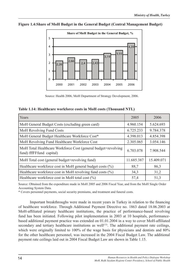

#### **Figure 1.4:Share of MoH Budget in the General Budget (Central Management Budget)**



### **Table 1.14: Healthcare workforce costs in MoH costs (Thousand NTL)**

| Years                                                                                     | 2005       | 2006       |
|-------------------------------------------------------------------------------------------|------------|------------|
| MoH General Budget Costs (excluding green card)                                           | 4.960.154  | 5.624.693  |
| MoH Revolving Fund Costs                                                                  | 6.725.233  | 9.784.378  |
| MoH General Budget Healthcare Workforce Cost*                                             | 4.398.013  | 4.854.398  |
| MoH Revolving Fund Healthcare Workforce Cost                                              | 2.305.065  | 3.054.146  |
| MoH Total Healthcare Workforce Cost (general budget+revolving<br>fund) fffFFfund capital) | 6.703.078  | 7.908.544  |
| MoH Total cost (general budget+revolving fund)                                            | 11.685.387 | 15.409.071 |
| Healthcare workforce cost in MoH general budget costs $(\%)$                              | 88,7       | 86,3       |
| Healthcare workforce cost in MoH revolving fund costs $(\%)$                              | 34,3       | 31,2       |
| Healthcare workforce cost in MoH total cost $(\%)$                                        | 57,4       | 51,3       |

Source: Obtained from the expenditure made in MoH 2005 and 2006 Fiscal Year, and from the MoH Single Order Accounting System Data.

\* Covers personnel payments, social security premiums, and treatment and funeral costs.

Important breakthroughs were made in recent years in Turkey in relation to the financing of healthcare workforce. Through Additional Payment Directive no. 1863 dated 18.06.2003 at MoH-affiliated primary healthcare institutions, the practice of performance-based revolving fund has been initiated. Following pilot implementation in 2003 at 10 hospitals, performancebased additional payment practice was extended on 01.01.2004 in a way to cover MoH-affiliated secondary and tertiary healthcare institutions as well<sup> $(13)$ </sup>. The additional payment rate ceilings, which were originally limited to 100% of the wage basis for physicians and dentists and 80% for the other healthcare personnel, was increased in the 2004 Fiscal Budget Law. The additional payment rate ceilings laid out in 2004 Fiscal Budget Law are shown in Table 1.15.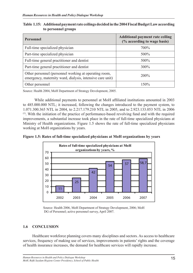| Table 1.15: Additional payment rate ceilings decided in the 2004 Fiscal Budget Law according |
|----------------------------------------------------------------------------------------------|
| to personnel groups                                                                          |

| <b>Personnel</b>                                                                                                   | <b>Additional payment rate ceiling</b><br>(% according to wage basis) |
|--------------------------------------------------------------------------------------------------------------------|-----------------------------------------------------------------------|
| Full-time specialized physician                                                                                    | 700%                                                                  |
| Part-time specialized physician                                                                                    | 500%                                                                  |
| Full-time general practitioner and dentist                                                                         | 500%                                                                  |
| Part-time general practitioner and dentist                                                                         | 300%                                                                  |
| Other personnel (personnel working at operating room,<br>emergency, maternity ward, dialysis, intensive care unit) | 200%                                                                  |
| Other personnel                                                                                                    | 150%                                                                  |

Source: Health 2004, MoH Department of Strategy Development, 2005.

While additional payments to personnel at MoH affiliated institutions amounted in 2003 to 485.000.000 NTL; it increased, following the changes introduced to the payment system, to 1.071.300.365 NTL in 2004, to 2.217.179.210 NTL in 2005, and to 2.923.133.053 NTL in 2006 (1). With the initiation of the practice of performance-based revolving fund and with the required improvements, a substantial increase took place in the rate of full-time specialized physicians at Ministry of Health organizations. Figure 1.5 shows the rate of full-time specialized physicians working at MoH organizations by years.





 Source: Health 2006, MoH Department of Strategy Development, 2006; MoH DG of Personnel; active personnel survey, April 2007.

### **1.6 CONCLUSION**

Healthcare workforce planning covers many disciplines and sectors. As access to healthcare services, frequency of making use of services, improvements in patients' rights and the coverage of health insurance increases, the demand for healthcare services will rapidly increase.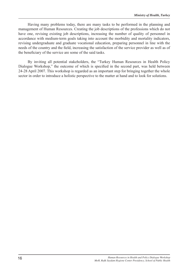Having many problems today, there are many tasks to be performed in the planning and management of Human Resources. Creating the job descriptions of the professions which do not have one, revising existing job descriptions, increasing the number of quality of personnel in accordance with medium-term goals taking into account the morbidity and mortality indicators, revising undergraduate and graduate vocational education, preparing personnel in line with the needs of the country and the field, increasing the satisfaction of the service provider as well as of the beneficiary of the service are some of the said tasks.

By inviting all potential stakeholders, the "Turkey Human Resources in Health Policy Dialogue Workshop," the outcome of which is specified in the second part, was held between 24-28 April 2007. This workshop is regarded as an important step for bringing together the whole sector in order to introduce a holistic perspective to the matter at hand and to look for solutions.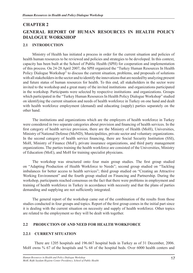# **CHAPTER 2 GENERAL REPORT OF HUMAN RESOURCES IN HEALTH POLICY DIALOGUE WORKSHOP**

#### **2.1 INTRODUCTION**

Ministry of Health has initiated a process in order for the current situation and policies of health human resources to be reviewed and policies and strategies to be developed. In this context, capacity has been built at the School of Public Health (SPH) for cooperation and implementation of this process. On 24-28 April 2007, the SPH organized the "Turkey Human Resources In Health Policy Dialogue Workshop" to discuss the current situation, problems, and proposals of solutions with all stakeholders in the sector and to identify the innovations that are needed by analyzing present and future status of human resources for health. To this end, all stakeholders in the sector were invited to the workshop and a great many of the invited institutions and organizations participated in the workshop. Participants were selected by respective institutions and organizations. Groups which participated in the "Turkey Human Resources In Health Policy Dialogue Workshop" studied on identifying the current situation and needs of health workforce in Turkey on one hand and dealt with health workforce employment (demand) and educating (supply) parties separately on the other hand.

The institutions and organizations which are the employers of health workforce in Turkey were considered in two separate categories about provision and financing of health services. In the first category of health service provision, there are the Ministry of Health (MoH), Universities, Ministry of National Defense (MoND), Municipalities, private sector and voluntary organizations. In the second category of health service financing, there are Social Security Institution (SSI), MoH, Ministry of Finance (MoF), private insurance organizations, and third party management organizations. The parties training the health workforce are consisted of the Universities, Ministry of Education (MoE), and MoH for training specialist physicians.

The workshop was structured onto four main group studies. The first group studied on "Adapting Production of Health Workforce to Needs"; second group studied on "Tackling imbalances for better access to health services"; third group studied on "Creating an Attractive Working Environment" and the fourth group studied on Financing and Partnership. During the workshop, participants reached consensus on the fact that there were problems in employment and training of health workforce in Turkey in accordance with necessity and that the plans of parties demanding and supplying are not sufficiently integrated.

The general report of the workshop came out of the combination of the results from those studies conducted in four groups and topics. Report of the first group comes in the initial part since it is dealing with the current situation on necessity and supply of health workforce. Other topics are related to the employment so they will be dealt with together.

#### **2.2 PRODUCTION OF AND NEED FOR HEALTH WORKFORCE**

#### **2.2.1 CURRENT SITUATION**

There are 1205 hospitals and 196.667 hospital beds in Turkey as of 31 December, 2006. MoH owns % 67 of the hospitals and % 68 of the hospital beds. Over 6000 health centers and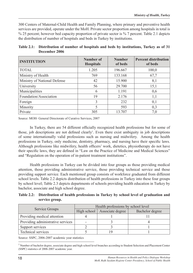300 Centers of Maternal-Child Health and Family Planning, where primary and preventive health services are provided, operate under the MoH. Private sector proportion among hospitals in total is % 25 percent; however bed capacity proportion of private sector is % 7 percent. Table 2.1 depicts the distribution of number of hospitals and beds in Turkey by institutions.

| <b>INSTITUTION</b>           | Number of<br><b>Hospitals</b> | <b>Number</b><br>of beds | <b>Percent distribution</b><br>of beds |
|------------------------------|-------------------------------|--------------------------|----------------------------------------|
| <b>TOTAL</b>                 | 1.205                         | 196.667                  | 100,0                                  |
| Ministry of Health           | 769                           | 133.168                  | 67,7                                   |
| Ministry of National Defense | 42                            | 15.900                   | 8,1                                    |
| University                   | 56                            | 29.700                   | 15,1                                   |
| Municipalities               | 6                             | 1.191                    | 0,6                                    |
| Foundation/Association       | 19                            | 2.176                    | 1,1                                    |
| Foreign                      | 3                             | 232                      | 0,1                                    |
| Minority                     | 5                             | 593                      | 0,3                                    |
| Private                      | 305                           | 13.707                   | 7,0                                    |

**Table 2.1: Distribution of number of hospitals and beds by institutions, Turkey as of 31 December 2006**

Source: MOH- General Directorate of Curative Services, 2007

In Turkey, there are 54 different officially recognized health professions but for some of those, job descriptions are not defined clearly<sup>1</sup>. Even there exist ambiguity in job descriptions of some internationally valid professions such as nursing and midwifery. Among the health professions in Turkey, only medicine, dentistry, pharmacy, and nursing have their specific laws. Although professions like midwifery, health officers' work, dietetics, physiotherapy do not have their specific laws, they are defined in "Law on the Practice of Medicine and Medical Sciences" and "Regulation on the operation of in-patient treatment institutions".

Health professions in Turkey can be divided into four groups as those providing medical attention, those providing administrative service, those providing technical service and those providing support service. Each mentioned group consists of workforce graduated from different school levels. Table 2.2 depicts distribution of health professions in Turkey into these four groups by school level; Table 2.3 depicts departments of schools providing health education in Turkey by bachelor, associate and high school degree.

**Table 2.2: Distribution of health professions in Turkey by school level of graduation and service group.**

|                                   | Health professions by school level |                  |                 |  |
|-----------------------------------|------------------------------------|------------------|-----------------|--|
| Service Groups                    | High school                        | Associate degree | Bachelor degree |  |
| Providing medical attention       |                                    |                  |                 |  |
| Providing administrative services | -                                  |                  |                 |  |
| Support services                  |                                    |                  |                 |  |
| <b>Technical services</b>         |                                    |                  |                 |  |

Source: SSPC, 2006-2007 academic year statistics

<sup>&</sup>lt;sup>1</sup> Number of bachelor degree, associate degree and high school level branches according to Student Selection and Placement Center (SSPC) statistics of 2006-2007 academic year.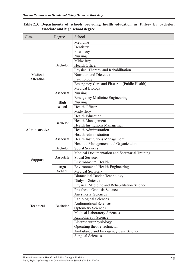| Class                 | Degree           | School                                         |
|-----------------------|------------------|------------------------------------------------|
|                       |                  | Medicine                                       |
|                       |                  | Dentistry                                      |
|                       |                  | Pharmacy                                       |
|                       |                  | Nursing                                        |
|                       |                  | Midwifery                                      |
|                       | <b>Bachelor</b>  | Health Officer                                 |
|                       |                  | Physical Therapy and Rehabilitation            |
| <b>Medical</b>        |                  | <b>Nutrition and Dietetics</b>                 |
| <b>Attention</b>      |                  | Psychology                                     |
|                       |                  | Emergency Care and First Aid (Public Health)   |
|                       |                  | <b>Medical Biology</b>                         |
|                       | <b>Associate</b> | Nursing                                        |
|                       |                  | <b>Emergency Medicine Engineering</b>          |
|                       | <b>High</b>      | Nursing                                        |
|                       | school           | Health Officer                                 |
|                       |                  | Midwifery                                      |
|                       |                  | <b>Health Education</b>                        |
|                       | <b>Bachelor</b>  | <b>Health Management</b>                       |
|                       |                  | <b>Health Institutions Management</b>          |
| <b>Administrative</b> |                  | <b>Health Administration</b>                   |
|                       | <b>Associate</b> | <b>Health Administration</b>                   |
|                       |                  | <b>Health Institutions Management</b>          |
|                       |                  | Hospital Management and Organization           |
|                       | <b>Bachelor</b>  | <b>Social Services</b>                         |
|                       |                  | Medical Documentation and Secretarial Training |
| <b>Support</b>        | <b>Associate</b> | <b>Social Services</b>                         |
|                       |                  | <b>Environmental Health</b>                    |
|                       | <b>High</b>      | Environmental Health Engineering               |
|                       | <b>School</b>    | <b>Medical Secretary</b>                       |
|                       |                  | <b>Biomedical Device Technology</b>            |
|                       |                  | Dialysis Science                               |
|                       |                  | Physical Medicine and Rehabilitation Science   |
|                       |                  | Prosthesis-Orthosis Science                    |
|                       |                  | Anesthesia Sciences                            |
|                       |                  | Radiological Sciences                          |
| <b>Technical</b>      | <b>Bachelor</b>  | <b>Audiometrical Sciences</b>                  |
|                       |                  | <b>Optometry Sciences</b>                      |
|                       |                  | <b>Medical Laboratory Sciences</b>             |
|                       |                  | Radiotherapy Science                           |
|                       |                  | Electroneurophysiology                         |
|                       |                  | Operating theatre technician                   |
|                       |                  | Ambulance and Emergency Care Science           |
|                       |                  | <b>Surgical Sciences</b>                       |

**Table 2.3: Departments of schools providing health education in Turkey by bachelor, associate and high school degree.**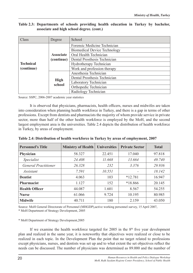### **Table 2.3: Departments of schools providing health education in Turkey by bachelor, associate and high school degree. (cont.)**

| Class                          | Degree                         | School                                                                                                                                                                                         |
|--------------------------------|--------------------------------|------------------------------------------------------------------------------------------------------------------------------------------------------------------------------------------------|
| <b>Technical</b><br>(continue) | <b>Associate</b><br>(continue) | Forensic Medicine Technician<br><b>Biomedical Device Technology</b><br>Oral Health Technician<br>Dental Prosthesis Technician<br><b>Hydrotherapy Technician</b><br>Work and profession therapy |
|                                | <b>High</b><br>school          | Anesthesia Technician<br>Dental Prosthesis Technician<br>Laboratory Technician<br>Orthopedic Technician<br>Radiology Technician                                                                |

Source: SSPC, 2006-2007 academic year statistics

It is observed that physicians, pharmacists, health officers, nurses and midwifes are taken into consideration when planning health workforce in Turkey, and there is a gap in terms of other professions. Except from dentists and pharmacists the majority of whom provide service in private sector, more than half of the other health workforce is employed by the MoH, and the second largest employment area is the universities. Table 2.4 depicts the distribution of health workforce in Turkey, by areas of employment.

| <b>Personnel's Title</b>    | <b>Ministry of Health</b> | <b>Universities</b> | <b>Private Sector</b> | <b>Total</b> |
|-----------------------------|---------------------------|---------------------|-----------------------|--------------|
| Physician                   | 58.327                    | 22.451              | 17.040                | 97.818       |
| Specialist                  | 24.408                    | 11.668              | 13.664                | 49.740       |
| <b>General Practitioner</b> | 26.328                    | 232                 | 3.376                 | 29.936       |
| <i>Assistant</i>            | 7.591                     | 10.551              |                       | 18.142       |
| <b>Dentist</b>              | 4.063                     | 103                 | $*12.781$             | 16.947       |
| <b>Pharmacist</b>           | 1.127                     | 152                 | $*18.866$             | 20.145       |
| <b>Health Officer</b>       | 44.087                    | 1.601               | 8.567                 | 54.255       |
| <b>Nurse</b>                | 61.066                    | 9.724               | 10.195                | 80.985       |
| <b>Midwife</b>              | 40.711                    | 180                 | 2.159                 | 43.050       |

**Table 2.4: Distribution of health workforce in Turkey by areas of employment, 2007**

Source: MoH General Directorate of Personnel (MHGDP),active working personnel survey, 15 April 2007, \* MoH Department of Strategy Development, 2005

\* MoH Department of Strategy Development,2005

If we examine the health workforce targeted for  $2005$  in the  $8<sup>th</sup>$  five year development plan and realized in the same year, it is noteworthy that objectives were realized or close to be realized in each topic. In the Development Plan the point that no target related to professions except physicians, nurses, and dentists was set up and to what extent the set objectives reflect the needs can be discussed. The number of physicians was determined as 89.000 and the number of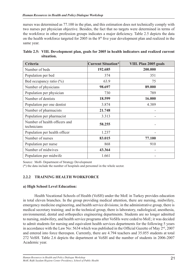nurses was determined as 77.100 in the plan, and this estimation does not technically comply with two nurses per physician objective. Besides, the fact that no targets were determined in terms of the workforce in other profession groups indicates a major deficiency. Table 2.5 depicts the data on the health workforce targeted for 2005 in the 8<sup>th</sup> five year development plan and realized in the same year.

| Criteria                                     | <b>Current Situation*</b> | VIII. Plan 2005 goals |
|----------------------------------------------|---------------------------|-----------------------|
| Number of beds                               | 192.685                   | 200.000               |
| Population per bed                           | 374                       | 351                   |
| Bed occupancy ratio $(\%)$                   | 63.9                      | 75                    |
| Number of physicians                         | 98.697                    | 89.000                |
| Population per physician                     | 730                       | 789                   |
| Number of dentists                           | 18.599                    | 16.000                |
| Population per one dentist                   | 3.874                     | 4.389                 |
| Number of pharmacists                        | 21.748                    |                       |
| Population per pharmacist                    | 3.313                     |                       |
| Number of health officers and<br>technicians | 58.255                    |                       |
| Population per health officer                | 1.237                     |                       |
| Number of nurses                             | 83.015                    | 77.100                |
| Population per nurse                         | 868                       | 910                   |
| Number of midwives                           | 43.364                    |                       |
| Population per midwife                       | 1.661                     |                       |

**Table 2.5: VIII. Development plan, goals for 2005 in health indicators and realized current situation.**

Source: MoH- Department of Strategy Development

(\*) the data include the number of hospitals and personnel in the whole sector.

### **2.2.2 TRAINING HEALTH WORKFORCE**

#### **a) High School Level Education:**

Health Vocational Schools of Health (VoSH) under the MoE in Turkey provides education in total eleven branches. In the group providing medical attention, there are nursing, midwifery, emergency medicine engineering, and health service divisions; in the administrative group, there is medical secretary training; and in the technical group, there is laboratory, radiological, anesthesia, environmental, dental and orthopedics engineering departments. Students are no longer admitted to nursing, midwifery, and health service programs after VoSHs were ceded to MoE; it was decided to admit students for nursing and equivalent health services departments for the following 5 years in accordance with the Law No: 5634 which was published in the Official Gazette of May  $2<sup>nd</sup>$ , 2007 and entered into force thereupon. Currently, there are 4.794 teachers and 35.055 students at total 272 VoSH. Table 2.6 depicts the department at VoSH and the number of students in 2006-2007 Academic year.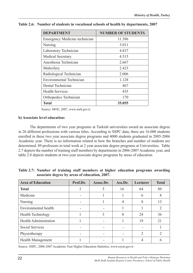| <b>DEPARTMENT</b>                    | <b>NUMBER OF STUDENTS</b> |
|--------------------------------------|---------------------------|
| <b>Emergency Medicine technician</b> | 11.396                    |
| <b>Nursing</b>                       | 5.011                     |
| Laboratory Technician                | 4.837                     |
| <b>Medical Secretary</b>             | 4.515                     |
| Anesthesia Technician                | 2.667                     |
| Midwifery                            | 2.423                     |
| Radiological Technician              | 2.006                     |
| <b>Environmental Technician</b>      | 1.128                     |
| Dental Technician                    | 467                       |
| <b>Health Services</b>               | 435                       |
| Orthopedics Technician               | 170                       |
| <b>Total</b>                         | 35.055                    |

**Table 2.6: Number of students in vocational schools of health by departments, 2007**

Source: MOE, 2007, www.meb.gov.tr

#### **b) Associate level education:**

The departments of two year programs at Turkish universities award an associate degree in 26 different professions with various titles. According to SSPC data, there are 16.000 students enrolled in these two year associate degree programs and 4000 students graduated in 2005-2006 Academic year. There is no information related to how the branches and number of students are determined. 89 professors in total work at 2 year associate degree programs at Universities. Table 2.7 depicts the number of training staff members by departments in 2006-2007 Academic year, and table 2.8 depicts students at two-year associate degree programs by areas of education.

|  |  |                                               |  | Table 2.7: Number of training staff members at higher education programs awarding |  |
|--|--|-----------------------------------------------|--|-----------------------------------------------------------------------------------|--|
|  |  | associate degree by areas of education, 2007. |  |                                                                                   |  |

| <b>Area of Education</b>     | Prof.Dr. | Assoc.Dr. | Ass.Dr. | Lecturer       | <b>Total</b> |
|------------------------------|----------|-----------|---------|----------------|--------------|
| <b>Total</b>                 | 3        |           | 16      | 64             | 89           |
| Medicine                     |          |           |         | h              | 8            |
| <b>Nursing</b>               |          |           |         | 8              | 13           |
| Environmental health         |          |           |         |                | 2            |
| <b>Health Technology</b>     |          | 3         | 8       | 24             | 36           |
| <b>Health Administration</b> |          |           |         | 19             | 21           |
| <b>Social Services</b>       |          |           |         |                |              |
| Physiotherapy                |          |           |         | $\mathfrak{D}$ | 2            |
| <b>Health Management</b>     |          |           |         |                |              |

Source: SSPC, 2006-2007 Academic Year Higher Education Statistics, www.osym.gov.tr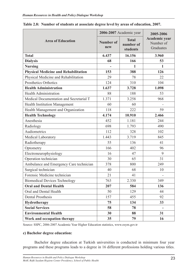|                                             |                         | 2006-2007 Academic year               | 2005-2006                               |
|---------------------------------------------|-------------------------|---------------------------------------|-----------------------------------------|
| <b>Area of Education</b>                    | <b>Number of</b><br>new | <b>Total</b><br>number of<br>students | Academic year<br>Number of<br>Graduates |
| <b>Total</b>                                | 6.437                   | 16.156                                | 3.960                                   |
| <b>Dialysis</b>                             | 68                      | 166                                   | 53                                      |
| <b>Nursing</b>                              |                         | 1                                     | 1                                       |
| <b>Physical Medicine and Rehabilitation</b> | 153                     | 388                                   | 126                                     |
| Physical Medicine and Rehabilitation        | 29                      | 78                                    | 22                                      |
| Prosthetics Orthotics                       | 124                     | 310                                   | 104                                     |
| <b>Health Administration</b>                | 1.637                   | 3.728                                 | 1.098                                   |
| <b>Health Administration</b>                | 88                      | 188                                   | 53                                      |
| Medical Documentation and Secretarial T     | 1.371                   | 3.258                                 | 968                                     |
| <b>Health Institution Management</b>        | 60                      | 60                                    |                                         |
| Health Management and Organization          | 118                     | 222                                   | 59                                      |
| <b>Health Technology</b>                    | 4.174                   | 10.910                                | 2.466                                   |
| Anesthesia                                  | 452                     | 1.181                                 | 244                                     |
| Radiology                                   | 698                     | 1.793                                 | 490                                     |
| Audiometrics                                | 112                     | 328                                   | 102                                     |
| Medical Laboratory                          | 1.443                   | 3.719                                 | 845                                     |
| Radiotherapy                                | 55                      | 136                                   | 41                                      |
| Optometry                                   | 166                     | 402                                   | 96                                      |
| Electroneurophysiology                      | 16                      | 47                                    | 9                                       |
| Operation technician                        | 30                      | 65                                    | 31                                      |
| Ambulance and Emergency Care technician     | 378                     | 800                                   | 249                                     |
| Surgical technician                         | 40                      | 68                                    | 10                                      |
| Forensic Medicine technician                | 21                      | 41                                    |                                         |
| <b>Biomedical Devices Technology</b>        | 763                     | 2.330                                 | 349                                     |
| <b>Oral and Dental Health</b>               | 207                     | 584                                   | 136                                     |
| Oral and Dental Health                      | 50                      | 129                                   | 44                                      |
| <b>Dental Prosthesis</b>                    | 157                     | 455                                   | 92                                      |
| <b>Hydrotherapy</b>                         | 75                      | 134                                   | 33                                      |
| <b>Social Services</b>                      | 58                      | 78                                    |                                         |
| <b>Environmental Health</b>                 | 30                      | 88                                    | 31                                      |
| Work and occupation therapy                 | 35                      | 79                                    | 16                                      |

#### **Table 2.8: Number of students at associate degree level by areas of education, 2007.**

Source: SSPC, 2006-2007 Academic Year Higher Education statistics, www.osym.gov.tr

#### **c) Bachelor degree education:**

Bachelor degree education at Turkish universities is conducted in minimum four year programs and these programs leads to a degree in 16 different professions holding various titles.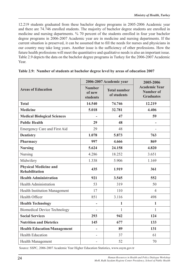12.219 students graduated from these bachelor degree programs in 2005-2006 Academic year and there are 74.746 enrolled students. The majority of bachelor degree students are enrolled in medicine and nursing departments. % 70 percent of the students enrolled in four year bachelor degree programs in 2006-2007 Academic year are in medicine and nursing departments. If the current situation is preserved, it can be assumed that to fill the needs for nurses and physicians in our country may take long years. Another issue is the sufficiency of other professions. How the future health professions will meet the quantitative and qualitative needs is also an important issue. Table 2.9 depicts the data on the bachelor degree programs in Turkey for the 2006-2007 Academic Year.

|                                                |                                                                           | 2006-2007 Academic year | 2005-2006                                                    |  |
|------------------------------------------------|---------------------------------------------------------------------------|-------------------------|--------------------------------------------------------------|--|
| <b>Areas of Education</b>                      | <b>Number</b><br><b>Total number</b><br>of new<br>of students<br>students |                         | <b>Academic Year</b><br><b>Number of</b><br><b>Graduates</b> |  |
| <b>Total</b>                                   | 14.540                                                                    | 74.746                  | 12.219                                                       |  |
| <b>Medicine</b>                                | 5.018                                                                     | 32.781                  | 4.406                                                        |  |
| <b>Medical Biological Sciences</b>             |                                                                           | 47                      | 59                                                           |  |
| <b>Public Health</b>                           | 29                                                                        | 48                      |                                                              |  |
| <b>Emergency Care and First Aid</b>            | 29                                                                        | 48                      |                                                              |  |
| <b>Dentistry</b>                               | 1.078                                                                     | 5.873                   | 763                                                          |  |
| Pharmacy                                       | 997                                                                       | 4.666                   | 869                                                          |  |
| <b>Nursing</b>                                 | 5.624                                                                     | 24.158                  | 4.820                                                        |  |
| Nursing                                        | 4.286                                                                     | 18.252                  | 3.651                                                        |  |
| Midwifery                                      | 1.338                                                                     | 5.906                   | 1.169                                                        |  |
| <b>Physical Medicine and</b><br>Rehabilitation | 435                                                                       | 1.919                   | 361                                                          |  |
| <b>Health Administration</b>                   | 921                                                                       | 3.545                   | 552                                                          |  |
| <b>Health Administration</b>                   | 53                                                                        | 319                     | 50                                                           |  |
| <b>Health Institution Management</b>           | 17                                                                        | 110                     | $\overline{4}$                                               |  |
| Health Officer                                 | 851                                                                       | 3.116                   | 498                                                          |  |
| <b>Health Technology</b>                       | ÷                                                                         | $\mathbf{1}$            | $\mathbf{1}$                                                 |  |
| <b>Biomedical Device Technology</b>            |                                                                           | $\mathbf{1}$            | 1                                                            |  |
| <b>Social Services</b>                         | 293                                                                       | 942                     | 124                                                          |  |
| <b>Nutrition and Dietetics</b>                 | 145                                                                       | 677                     | 133                                                          |  |
| <b>Health Education/Management</b>             | $\blacksquare$                                                            | 89                      | 131                                                          |  |
| <b>Health Education</b>                        |                                                                           | 37                      | 61                                                           |  |
| Health Management                              | $\overline{a}$                                                            | 52                      | 70                                                           |  |

#### **Table 2.9: Number of students at bachelor degree level by areas of education 2007**

Source: SSPC, 2006-2007 Academic Year Higher Education Statistics, www.osym.gov.tr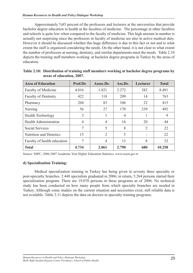Approximately %85 percent of the professors and lecturers at the universities that provide bachelor degree education in health at the faculties of medicine. The percentage at other faculties and schools is quite low when compared to the faculty of medicine. This high amount in number is actually not surprising since the professors in faculty of medicine are also in active medical duty. However it should be discussed whether this huge difference is due to this fact or not and to what extent the staff is organized considering the needs. On the other hand, it is not clear to what extent the number of professors at nursing, dentistry, and similar departments meet the needs. Table 2.10 depicts the training staff members working at bachelor degree programs in Turkey by the areas of education.

| <b>Area of Education</b>       | Prof.Dr. | Assoc.Dr. | Ass.Dr. | Lecturer       | <b>Total</b> |
|--------------------------------|----------|-----------|---------|----------------|--------------|
| Faculty of Medicine            | 4.016    | 1.821     | 2.272   | 382            | 8.491        |
| <b>Faculty of Dentistry</b>    | 422      | 118       | 209     | 14             | 763          |
| Pharmacy                       | 204      | 83        | 106     | 22             | 415          |
| <b>Nursing</b>                 | 56       | 27        | 170     | 239            | 492          |
| <b>Health Technology</b>       | 3        |           | 4       |                | 9            |
| <b>Health Administration</b>   | 4        | 4         | 16      | 20             | 44           |
| <b>Social Services</b>         | 7        | 5         | 8       | $\overline{2}$ | 22           |
| <b>Nutrition and Dietetics</b> | 15       | 2         | 5       |                | 22           |
| Faculty of health education    | 7        | 4         | 13      | 8              | 32           |
| <b>Total</b>                   | 4.734    | 2.061     | 2.790   | 680            | 10.258       |

**Table 2.10: Distribution of training staff members working at bachelor degree programs by areas of education, 2007.**

Source: SSPC, 2006-2007 Academic Year Higher Education Statistics, www.osym.gov.tr

#### **d) Specialization Training:**

Medical specialization training in Turkey has being given in seventy three specialty or post-specialty branches. 2.448 specialists graduated in 2006; in return, 5.264 persons started their specialization program. There are 19.070 persons in these programs as of 2006. No technical study has been conducted on how many people from which specialty branches are needed in Turkey. Although some studies on the current situation and necessities exist, still reliable data is not available. Table 2.11 depicts the data on doctors in specialty training programs.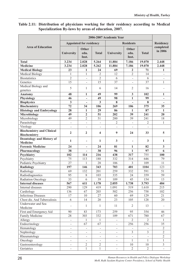# **Table 2.11: Distribution of physicians working for their residency according to Medical Specialization By-laws by areas of education, 2007.**

|                                                         |                          | <b>Appointed for residency</b> |                              | <b>Residents</b>         | <b>Residency</b>              |                |                              |
|---------------------------------------------------------|--------------------------|--------------------------------|------------------------------|--------------------------|-------------------------------|----------------|------------------------------|
| <b>Area of Education</b>                                | University               | <b>Other</b><br>edu.<br>Inst.  | <b>Total</b>                 | University               | <b>Other</b><br>edu.<br>Inst. | <b>Total</b>   | completed<br>in 2006         |
| <b>Total</b>                                            | 3.234                    | 2.028                          | 5.264                        | 11.884                   | 7.186                         | 19.070         | 2.448                        |
| <b>Medicine</b>                                         | 3.234                    | 2.028                          | 5.262                        | 11.884                   | 7.186                         | 19.070         | 2.448                        |
| <b>Medical Biology</b>                                  | 23                       | 1                              | 24                           | 69                       | $\mathbf{2}$                  | 71             | 1                            |
| <b>Medical Biology</b>                                  | $\mathbf{1}$             | $\mathbf{1}$                   | $\overline{2}$               | 12                       | $\overline{2}$                | 14             | $\overline{\phantom{a}}$     |
| <b>Biostatistics</b>                                    | $\overline{2}$           | $\qquad \qquad \blacksquare$   | $\overline{2}$               | 6                        | $\overline{\phantom{a}}$      | 6              | $\qquad \qquad \blacksquare$ |
| Genetics                                                | 15                       | $\overline{a}$                 | 15                           | 37                       | $\overline{a}$                | 37             | 1                            |
| Medical Biology and                                     | 5                        | $\mathbf{1}$                   | 6                            | 14                       | $\overline{2}$                | 16             |                              |
| genetics                                                |                          |                                |                              |                          |                               |                |                              |
| <b>Anatomy</b>                                          | 48                       | 1                              | 49                           | 99                       | $\mathbf{3}$                  | 102            | $\mathbf{1}$                 |
| <b>Physiology</b>                                       | 46                       | $\overline{\phantom{a}}$       | 49                           | 98                       | $\mathbf{1}$                  | 99             | $\overline{a}$               |
| <b>Biophysics</b>                                       | $\overline{\mathbf{3}}$  |                                | 3                            | 8                        |                               | 8              |                              |
| <b>Biochemistry</b>                                     | 72                       | 34                             | 106                          | 269                      | 106                           | 375            | 35                           |
| <b>Histology and Embryology</b>                         | 28                       | 1                              | 29                           | 86                       | 1                             | 87             | $\mathbf{1}$                 |
| <b>Microbiology</b>                                     | 49                       | $\overline{2}$                 | 51                           | 202                      | 39                            | 241            | 20                           |
| Microbiology                                            | 49                       | $\overline{2}$                 | 51                           | 200                      | 39                            | 241            | 18                           |
| Parasitology                                            | $\bar{\phantom{a}}$      | $\overline{a}$                 | $\qquad \qquad \blacksquare$ | $\mathfrak{2}$           | $\overline{a}$                | 2              | $\mathbf{1}$                 |
| Virology                                                | $\blacksquare$           | $\overline{\phantom{a}}$       | $\overline{\phantom{0}}$     | $\overline{\phantom{a}}$ | $\overline{\phantom{a}}$      | $\overline{a}$ |                              |
| <b>Biochemistry and Clinical</b><br><b>Biochemistry</b> | $\overline{2}$           | $\overline{2}$                 | $\overline{\mathbf{4}}$      | 9                        | 24                            | 33             | 5                            |
| Deontology and History of<br><b>Medicine</b>            | 1                        |                                | 1                            | 3                        | $\blacksquare$                | 3              | $\mathbf{1}$                 |
| <b>Forensic Medicine</b>                                | 24                       |                                | 24                           | 81                       | $\mathbf{1}$                  | 82             | $\overline{\mathbf{3}}$      |
| Pharmacology                                            | 38                       |                                | 38                           | 96                       | $\mathbf{1}$                  | 97             | 6                            |
| Psychiatry                                              | 102                      | 114                            | 216                          | 438                      | 317                           | 755            | 100                          |
| Psychiatry                                              | $\overline{75}$          | 113                            | 188                          | 332                      | 314                           | 646            | 79                           |
| Pediatric Psychiatry                                    | 27                       | $\mathbf{1}$                   | 28                           | 106                      | 3                             | 109            | 11                           |
| Radiology                                               | 197                      | 146                            | 343                          | 703                      | 401                           | 1104           | 123                          |
| Radiology                                               | 69                       | 132                            | 201                          | 259                      | 332                           | 591            | 51                           |
| Radiodiagnostics                                        | 95                       | $8\,$                          | 103                          | 335                      | 24                            | 359            | 59                           |
| Radiation Oncology                                      | $\overline{33}$          | $\sqrt{6}$                     | 39                           | 109                      | 45                            | 154            | 13                           |
| <b>Internal diseases</b>                                | 567                      | 611                            | 1.178                        | 2.055                    | 1.738                         | 3.793          | 484                          |
| Internal diseases                                       | 290                      | 129                            | 419                          | 1.091                    | 519                           | 1.610          | 215                          |
| Cardiology                                              | 136                      | 67                             | 203                          | 502                      | 256                           | 758            | 102                          |
| <b>Infectious Diseases</b>                              | 17                       | 10                             | 27                           | 60                       | 69                            | 129            | 21                           |
| Chest dis. And Tuberculosis                             | 6                        | 14                             | 20                           | 23                       | 105                           | 128            | 20                           |
| Underwater and Sea<br>Medicine                          |                          | 1                              | 1                            | 11                       | $\overline{2}$                | 13             |                              |
| First and Emergency Aid                                 | 90                       | 83                             | 173                          | 259                      | 95                            | 354            | 46                           |
| Family Medicine                                         | $28\,$                   | 303                            | 332                          | 109                      | 671                           | 780            | 67                           |
| Allergy                                                 | $\overline{\phantom{a}}$ | 1                              | 1                            | $\overline{\phantom{a}}$ | $\overline{2}$                | $\overline{2}$ | $\mathbf{1}$                 |
| Endocrinology                                           | $\overline{\phantom{0}}$ | 67                             | 67                           | $\overline{\phantom{0}}$ | 256                           | 256            | 35                           |
| Hematology                                              | $\overline{\phantom{0}}$ | $\overline{a}$                 | $\overline{\phantom{a}}$     | $\overline{\phantom{0}}$ | $\bar{\phantom{a}}$           |                | $\overline{2}$               |
| Nephrology                                              | $\overline{\phantom{0}}$ | $\overline{\phantom{0}}$       | $\overline{\phantom{0}}$     | $\overline{\phantom{a}}$ | $\overline{3}$                | $\overline{3}$ | $\overline{2}$               |
| Rheumatology                                            |                          |                                | $\overline{\phantom{0}}$     |                          | $\frac{1}{2}$                 |                | $\sqrt{2}$                   |
| Oncology                                                | $\overline{\phantom{0}}$ |                                | $\overline{\phantom{a}}$     | $\overline{\phantom{a}}$ | $\mathbf{1}$                  | $\mathbf{1}$   | $\mathbf{1}$                 |
| Gastroenterology                                        | $\blacksquare$           | $\overline{2}$                 | $\overline{2}$               | $\overline{\phantom{a}}$ | $10\,$                        | $10\,$         | $\mathfrak{Z}$               |
| Geriatrics                                              | $\overline{\phantom{a}}$ | $\mathbf{1}$                   | $\mathbf{1}$                 | $\blacksquare$           | $\sqrt{2}$                    | $\sqrt{2}$     | $\blacksquare$               |
|                                                         |                          |                                |                              |                          |                               |                |                              |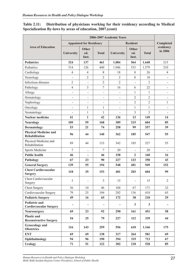|                                                       |                              | <b>Appointed for Residency</b> |                          | <b>Resident</b>          | Completed                    |                |                      |
|-------------------------------------------------------|------------------------------|--------------------------------|--------------------------|--------------------------|------------------------------|----------------|----------------------|
| <b>Area of Education</b>                              | University                   | <b>Other</b><br>ed.<br>Inst.   | <b>Total</b>             | <b>University</b>        | <b>Other</b><br>ed.<br>Inst. | <b>Total</b>   | residency<br>in 2006 |
| <b>Pediatrics</b>                                     | 324                          | 137                            | 461                      | 1.084                    | 564                          | 1.648          | 215                  |
| Pediatrics                                            | 314                          | 126                            | 440                      | 1.046                    | 533                          | 1.579          | 210                  |
| Cardiology                                            | 4                            | $\overline{4}$                 | 8                        | 18                       | 8                            | 26             | $\overline{4}$       |
| Neurology                                             | $\overline{a}$               | $\overline{2}$                 | $\overline{2}$           | $\overline{2}$           | 8                            | 10             |                      |
| Infectious diseases                                   | $\overline{2}$               | $\blacksquare$                 | $\overline{2}$           | $\overline{2}$           | $\overline{a}$               | $\overline{2}$ | $\blacksquare$       |
| Pathology                                             | $\overline{4}$               | 3                              | $\tau$                   | 16                       | 6                            | 22             | $\overline{a}$       |
| Allergy                                               | $\qquad \qquad \blacksquare$ | $\overline{\phantom{a}}$       | $\overline{a}$           | $\overline{\phantom{a}}$ | $\mathbf{1}$                 | $\mathbf{1}$   |                      |
| Hematology                                            | $\overline{\phantom{0}}$     | $\overline{\phantom{a}}$       | $\overline{\phantom{m}}$ |                          | $\overline{2}$               | $\overline{2}$ | $\blacksquare$       |
| Nephrology                                            | $\overline{\phantom{0}}$     | $\overline{\phantom{a}}$       | $\overline{\phantom{m}}$ |                          | $\overline{2}$               | $\overline{2}$ | $\mathbf{1}$         |
| Oncology                                              | $\overline{a}$               | $\mathbf{1}$                   | $\mathbf{1}$             |                          | $\mathbf{1}$                 | $\mathbf{1}$   |                      |
| Neonatology                                           | $\overline{a}$               | $\mathbf{1}$                   | $\mathbf{1}$             |                          | $\overline{3}$               | $\overline{3}$ | $\overline{a}$       |
| <b>Nuclear medicine</b>                               | 41                           | $\mathbf{1}$                   | 42                       | 136                      | 13                           | 149            | 14                   |
| <b>Neurology</b>                                      | 109                          | 59                             | 168                      | 389                      | 215                          | 604            | 85                   |
| <b>Dermatology</b>                                    | 53                           | 21                             | 74                       | 258                      | 99                           | 357            | 39                   |
| <b>Physical Medicine and</b><br><b>Rehabilitation</b> | 96                           | 44                             | 140                      | 362                      | 185                          | 547            | 55                   |
| Physical Medicine and<br>Rehabilitation               | 89                           | 44                             | 133                      | 342                      | 185                          | 527            | 55                   |
| Sports Medicine                                       | 7                            | $\overline{\phantom{m}}$       | 7                        | 20                       | -                            | 20             |                      |
| <b>Public health</b>                                  | 46                           | $\overline{\phantom{0}}$       | 46                       | 158                      | $\overline{2}$               | 160            | 16                   |
| Pathology                                             | 67                           | 23                             | 90                       | 227                      | 123                          | 350            | 43                   |
| <b>General Surgery</b>                                | 139                          | 55                             | 194                      | 548                      | 401                          | 949            | 152                  |
| <b>Chest Cardiovascular</b><br><b>Surgery</b>         | 118                          | 35                             | 153                      | 401                      | 203                          | 604            | 99                   |
| <b>Chest Cardiovascular</b><br>Surgery                | $\mathfrak{Z}$               |                                | $\mathfrak{Z}$           | 15                       | -                            | 15             | $\sqrt{2}$           |
| <b>Chest Surgery</b>                                  | 36                           | 10                             | 46                       | 104                      | 67                           | 171            | 32                   |
| Cardiovascular Surgery                                | 79                           | 25                             | 104                      | 282                      | 136                          | 418            | 65                   |
| <b>Pediatric Surgery</b>                              | 49                           | 16                             | 65                       | 172                      | 38                           | 210            | 29                   |
| <b>Pediatric and</b><br><b>Cardiovascular Surgery</b> |                              | $\qquad \qquad \blacksquare$   | $\overline{\phantom{0}}$ |                          | $\mathbf{3}$                 | $\mathbf{3}$   |                      |
| Neurosurgery                                          | 69                           | 23                             | 92                       | 290                      | 161                          | 451            | 58                   |
| <b>Plastic and</b><br><b>Reconstructive Surgery</b>   | 54                           | 25                             | 79                       | 227                      | 112                          | 339            | 44                   |
| <b>Gynecology</b> and<br><b>Obstetrics</b>            | 116                          | 143                            | 259                      | 556                      | 610                          | 1.166          | 175                  |
| <b>ENT</b>                                            | 69                           | 69                             | 138                      | 317                      | 264                          | 581            | 69                   |
| Ophthalmology                                         | 94                           | 96                             | 190                      | 394                      | 319                          | 713            | 67                   |
| <b>Urology</b>                                        | 71                           | 51                             | 122                      | 302                      | 218                          | 520            | 85                   |

| Table 2.11: Distribution of physicians working for their residency according to Medical |  |
|-----------------------------------------------------------------------------------------|--|
| Specialization By-laws by areas of education, 2007.(cont)                               |  |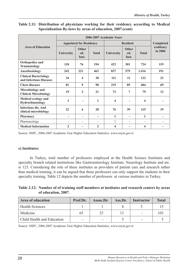| Table 2.11: Distribution of physicians working for their residency according to Medical |
|-----------------------------------------------------------------------------------------|
| Specialization By-laws by areas of education, 2007.(cont)                               |

|                                                         |                              | <b>Appointed for Residency</b> |                          | <b>Resident</b>         | Completed                    |                         |                      |
|---------------------------------------------------------|------------------------------|--------------------------------|--------------------------|-------------------------|------------------------------|-------------------------|----------------------|
| <b>Area of Education</b>                                | <b>University</b>            | <b>Other</b><br>ed.<br>Inst.   | <b>Total</b>             | <b>University</b>       | <b>Other</b><br>ed.<br>Inst. | <b>Total</b>            | residency<br>in 2006 |
| <b>Orthopedics and</b><br>Traumatology                  | 118                          | 76                             | 194                      | 423                     | 301                          | 724                     | 119                  |
| Anesthesiology                                          | 242                          | 221                            | 463                      | 837                     | 579                          | 1.416                   | 191                  |
| <b>Clinical Bacteriology</b><br>and Infectious Diseases | 34                           | 4                              | 38                       | 111                     | 11                           | 122                     | 23                   |
| <b>Chest diseases</b>                                   | 81                           | $\boldsymbol{9}$               | 90                       | 319                     | 85                           | 404                     | 69                   |
| Microbiology and<br><b>Clinical Microbiology</b>        | 19                           | $\mathbf{2}$                   | 21                       | 72                      | 7                            | 79                      | 12                   |
| <b>Medical ecology and</b><br>Hydroclimatology          | $\mathbf{1}$                 |                                | $\mathbf{1}$             | $\overline{\mathbf{4}}$ |                              | $\overline{\mathbf{4}}$ |                      |
| <b>Infectious dis. And</b><br>clinical microbiology     | 22                           | 6                              | 28                       | 76                      | 39                           | 115                     | 19                   |
| <b>Pharmacy</b>                                         | $\qquad \qquad \blacksquare$ |                                | $\overline{\phantom{0}}$ | $\mathbf{1}$            | $\qquad \qquad \blacksquare$ | 1                       |                      |
| Pharmacology                                            | $\overline{\phantom{a}}$     | -                              | $\overline{\phantom{a}}$ | 1                       | $\overline{\phantom{0}}$     | ٠                       |                      |
| <b>Medical Information</b>                              | $\mathbf{2}$                 |                                | $\mathbf{2}$             | $\overline{\mathbf{4}}$ | $\overline{\phantom{a}}$     | $\overline{\mathbf{4}}$ |                      |

Source: SSPC, 2006-2007 Academic Year Higher Education Statistics, www.osym.gov.tr

#### **e) Institutes:**

In Turkey, total number of professors employed at the Health Science Institutes and specialty branch related institutions like Gastroenterology Institute, Neurology Institute and etc. is 123. Considering the role of these institutes as providers of patient care and research rather than medical training, it can be argued that these professors can only support the students in their specialty training. Table 12 depicts the number of professors at various institutes in Turkey.

#### **Table 2.12: Number of of training staff members at institutes and research centers by areas of education, 2007.**

| <b>Area of education</b>   | Prof.Dr. | Assoc.Dr. | Ass.Dr. | Instructor | <b>Total</b> |
|----------------------------|----------|-----------|---------|------------|--------------|
| <b>Health Sciences</b>     |          |           |         |            |              |
| Medicine                   | 65       | 25        |         | -          | 103          |
| Child Health and Education |          |           |         |            |              |

Source: SSPC, 2006-2007 Academic Year Higher Education Statistics, www.osym.gov.tr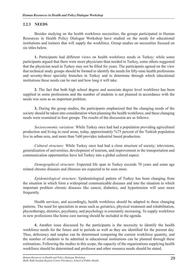#### **2.2.3 NEEDS**

Besides studying on the health workforce necessities, the groups participated in Human Resources in Health Policy Dialogue Workshop have studied on the needs for educational institutions and trainers that will supply the workforce. Group studies on necessities focused on six titles below.

**1.** Participants had different views on health workforce needs in Turkey; while some participants argued that there were more physicians than needed in Turkey, some others suggested that the physician need in Turkey may not be filled for years. The participants agreed on the view that technical study groups should be formed to identify the needs for fifty-nine health professions and seventy-three specialty branches in Turkey and to determine through which educational institutions these needs can be met and how long it will take.

**2.** The fact that both high school degree and associate degree level workforce has been supplied in some professions and the number of students is not planned in accordance with the needs was seen as an important problem.

**3.** During the group studies, the participants emphasized that the changing needs of the society should be taken into consideration when planning the health workforce, and these changing needs were examined in four groups. The results of the discussion are as follows:

*Socioeconomic variation:* While Turkey once had had a population providing agricultural production and living in rural areas, today, approximately %75 percent of the Turkish population live in urban area, and more than %60 provides industrial based production.

*Cultural structure:* While Turkey once had had a close structure of society; televisions, generalization of universities, development of tourism, and improvement in the transportation and communication opportunities have led Turkey into a global cultural aspect.

*Demographical structure:* Expected life span in Turkey exceeds 70 years and some age related chronic diseases and illnesses are expected to be seen more.

*Epidemiological structure:* Epidemiological pattern of Turkey has been changing from the situation in which form a widespread communicable diseases and into the situation in which important problem chronic diseases like cancer, diabetics, and hypertension will seen more frequently.

Health services, and accordingly, health workforce should be adapted to these changing patterns. The need for specialists in areas such as geriatrics, physical treatment and rehabilitation, physiotherapy, dietetics, psychiatry, and psychology is constantly increasing. To supply workforce in new professions like home care nursing should be included in the agenda.

**4.** Another issue discussed by the participants is the necessity to identify the health workforce needs for the future and in periods as well as they are identified for the present day. Thus, deficiency and surplus can be determined comparing the current workforce quantity, and the number of students to be admitted in educational institutions can be planned through these estimations. Following the studies in this scope, the capacity of the organizations supplying health workforce should be determined and professor and other resource needs should be stated.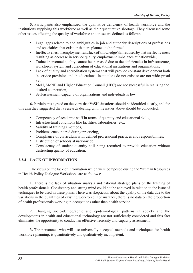**5.** Participants also emphasized the qualitative deficiency of health workforce and the institutions supplying this workforce as well as their quantitative shortage. They discussed some other issues affecting the quality of workforce and these are defined as follows:

- Legal gaps related to and ambiguities in job and authority descriptions of professions and specialties that exist or that are planned to be formed,
- Ineffectiveness in employment and lack of knowledge/skill caused by that ineffectiveness resulting as decrease in service quality, employment imbalance at nationwide,
- Trained personnel quality cannot be increased due to the deficiencies in infrastructure, workforce, system and curriculum of educational institutions and organizations,
- Lack of quality and accreditation systems that will provide constant development both in service provision and in educational institutions do not exist or are not widespread yet,
- MoH, MoNE and Higher Education Council (HEC) are not successful in realizing the desired cooperation,
- Self-assessment capacity of organizations and individuals is low.

**6.** Participants agreed on the view that VoSH situations should be identified clearly, and for this aim they suggested that a research dealing with the issues above should be conducted:

- Competency of academic staff in terms of quantity and educational skills,
- Infrastructural conditions like facilities, laboratories, etc.,
- Validity of trainings methods,
- Problems encountered during practicing,
- • Compliance of curriculum with defined professional practices and responsibilities,
- Distribution of schools at nationwide,
- Consistency of student quantity still being recruited to provide education without destructing quality of education.

# **2.2.4 LACK OF INFORMATION**

The views on the lack of information which were composed during the "Human Resources in Health Policy Dialogue Workshop" are as follows:

**1.** There is the lack of situation analysis and national strategic plans on the training of health professionals. Consistency and strong mind could not be achieved in relation to the issue of techniques to be used in these plans. There was skepticism about the quality of the data due to the variations in the quantities of existing workforce. For instance, there is no data on the proportion of health professionals working in occupations other than health service.

**2.** Changing socio-demographic and epidemiological patterns in society and the developments in health and educational technology are not sufficiently considered and this fact eliminates the opportunity to conduct an effective necessity and capacity assessment.

**3.** The personnel, who will use universally accepted methods and techniques for health workforce planning, is quantitatively and qualitatively incompetent.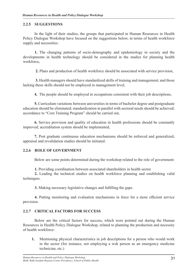#### **2.2.5 SUGGESTIONS**

In the light of their studies, the groups that participated in Human Resources in Health Policy Dialogue Workshop have focused on the suggestions below, in terms of health workforce supply and necessities:

 **1.** The changing patterns of socio-demography and epidemiology in society and the developments in health technology should be considered in the studies for planning health workforce,

**2.** Plans and production of health workforce should be associated with service provision,

 **3.** Health managers should have standardized skills of training and management; and those lacking these skills should not be employed in management level,

**4.** The people should be employed in occupations consistent with their job descriptions,

**5.** Curriculum variations between universities in terms of bachelor degree and postgraduate education should be eliminated; standardization in parallel with sectoral needs should be achieved; accordance to "Core Training Program" should be carried out,

**6.** Service provision and quality of education in health professions should be constantly improved; accreditation system should be implemented,

**7.** Post graduate continuous education mechanisms should be enforced and generalized, appraisal and revalidation studies should be initiated.

### **2.2.6 ROLE OF GOVERNMENT**

Below are some points determined during the workshop related to the role of government:

 **1.** Providing coordination between associated shareholders in health sector.

**2.** Leading the technical studies on health workforce planning and establishing valid techniques.

 **3.** Making necessary legislative changes and fulfilling the gaps.

 **4.** Putting monitoring and evaluation mechanisms in force for a more efficient service provision.

### **2.2.7 CRITICAL FACTORS FOR SUCCESS**

Below are the critical factors for success, which were pointed out during the Human Resources in Health Policy Dialogue Workshop, related to planning the production and necessity of health workforce:

**1.** Mentioning physical characteristics in job descriptions for a person who would work in the sector (for instance, not employing a wek person as an emergency medicine technician, etc.)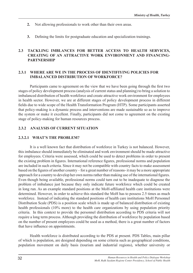- **2.** Not allowing professionals to work other than their own areas.
- **3.** Defining the limits for postgraduate education and specialization trainings.

### **2.3 TACKLING IMBLANCES FOR BETTER ACCESS TO HEALTH SERVICES, CREATING OF AN ATTRACTIVE WORK ENVIRONMENT AND FINANCING-PARTNERSHIP**

### **2.3.1 WHERE ARE WE IN THE PROCESS OF IDENTIFIYING POLICIES FOR IMBALANCED DISTRIBUTION OF WORKFORCE?**

Participants came to agreement on the view that we have been going through the first two stages of policy development process (analysis of current status and planning) to bring a solution to imbalanced distribution of health workforce and create attractive work environment for employees in health sector. However, we are at different stages of policy development process in different fields due to wide scope of the Health Transformation Program (HTP). Some participants asserted that policy-making is a dynamic process and interventions are made sustainable so as to improve the system or make it excellent. Finally, participants did not come to agreement on the existing stage of policy-making for human resources process.

### **2.3.2 ANALYSIS OF CURRENT SITUATION**

### **2.3.2.1 WHAT'S THE PROBLEM?**

It is a well known fact that distribution of workforce in Turkey is not balanced. However, this imbalance should immediately be eliminated and work environment should be made attractive for employees. Criteria were assessed, which could be used to detect problems in order to present the existing problem in figures. International reference figures, professional norms and population are included in such criteria. Since it may not be compatible with country facts to make assessment based on the figures of another country – for a great number of reasons- it may be a more appropriate approach for a country to develop her own norms rather than making use of the international figures. Even though being available, professional norms could turn out to be inadequate to diagnose the problem of imbalance just because they only indicate future workforce which could be created in long run. As an example standard positions at the MoH-affiliated health care institutions were determined. However, in order to achieve this standard the MoH has to possess 2.5 times as much workforce. Instead of indicating the standard positions of health care institutions MoH Personnel Distribution Scale (PDS) is a position scale which is made up of balanced distribution of existing health professionals (10% more) to the health care organizations by using population priority criteria. In this context to provide the personnel distribution according to PDS criteria will not require a long term process. Although providing the distribution of workforce by population based on the number of present employees could be used as a method, there is a great number of factors that have influence on appointments.

Health workforce is distributed according to the PDS at present. PDS Tables, main pillar of which is population, are designed depending on some criteria such as geographical conditions, population movement on daily basis (tourism and industrial regions), whether university or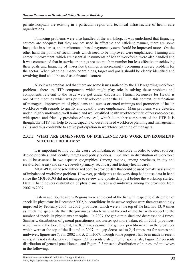private hospitals are existing in a particular region and technical infrastructure of health care organizations.

Financing problems were also handled at the workshop. It was underlined that financing sources are adequate but they are not used in effective and efficient manner, there are some inequities in salaries, and performance-based payment system should be improved more. On the other hand the points of social needs which need to be improved were emphasized. Training and career improvement, which are essential instruments of health workforce, were also handled and it was commented that in-service trainings are too much in number but less effective in achieving their goals and financing of in-service trainings is increasingly becoming a severe problem for the sector. When planning in-service trainings, target and goals should be clearly identified and revolving fund could be used as a financial source.

Also it was emphasized that there are some issues noticed by the HTP regarding workforce problems, there are HTP components which might play role in solving these problems and components relevant to the issue were put under discussion. Human Resources for Health is one of the modules which was primarily adopted under the HTP. In this context, qualifications of managers, improvement of physicians and nurses-oriented trainings and promotion of health workforce with regards to quality and quantity were emphasized. Main problems were detected under "highly motivated, well trained and well qualified health workforce" title of "easy-to-access, widespread and friendly provision of services", which is another component of the HTP. It is thought that HTP will help to build capacity of decentralized workforce planning and management skills and thus contribute to active participation in workforce planning of managers.

### **2.3.2.2 WHAT ARE DIMENSIONS OF IMBALANCE AND WORK ENVIRONMENT-SPECIFIC PROBLEMS?**

It is important to find out the cause for imbalanced workforce in order to detect sources, decide priorities, and identify targets and policy options. Imbalance in distribution of workforce could be assessed in two aspects: geographical (among regions, among provinces, in-city and rural-urban areas) and service levels (primary, secondary and tertiary health care).

MOH-PDG is the sole authorized body to provide data that could be used to make assessment of imbalanced workforce problem. However, participants at the workshop had to use data in hand since the MOH-PDG did not manage to review and update data just before the workshop started. Data in hand covers distribution of physicians, nurses and midwives among by provinces from 2002 to 2007.

Eastern and Southeastern Regions were at the end of the list with respect to distribution of specialist physicians in December 2002, but conditions in these two regions were then outstandingly improved by February 2007. In 2002, provinces, which were at the top of the list, had 13, 9 times as much the specialists than the provinces which were at the end of the list with respect to the number of specialist physicians per capita. In 2007, the gap diminished and decreased to 4 times. Similarly, distribution of general practitioners and nurses got more balanced. In 2002, provinces, which were at the top of the list, had 8, 7 times as much the general practitioners than the provinces which were at the top of the list and in 2007, the gap decreased to 2, 5 times. As for nurses and midwives, figures are 7, 9 in 2002 and 5, 2 in 2007. Though some progress has been made in recent years, it is not satisfactory yet. Figure 2.1 presents distribution of specialists, Figure 2.2 presents distribution of general practitioners, and Figure 2.3 presents distribution of nurses and midwives in the following.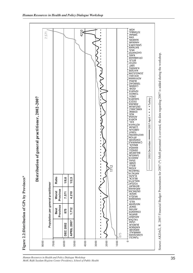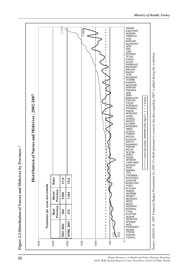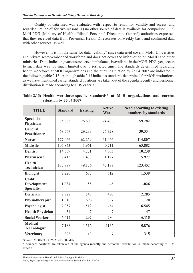Quality of data used was evaluated with respect to reliability, validity and access, and regarded "reliable" for two reasons: 1) no other source of data is available for comparison, 2) MoH-PDG (Ministry of Health-affiliated Personnel Directorate General) authorities expressed that they received data from Provincial Health Directorates on weekly basis and confirmed data with other sources, as well.

However, it is not the same for data "validity" since data used covers MoH, Universities and private sector-embedded workforce and does not cover the information on MoND and other ministries. Data, indicating various aspects of imbalance, is available in the MOH-PDG, yet, access to such data was too much limited due to restricted time. The standards determined regarding health workforce at MOH organizations and the current situation by 25.04.2007 are indicated in the following table 2.13. Although table 2.13 indicates standards determined for MOH institutions, as we have mentioned earlier standard positions are taken out of the agenda recently and personnel distribution is made according to PDS criteria.

**Table 2.13: Health workforce-specific standards\* at MoH organizations and current situation by 25.04.2007**

| <b>TITLE</b>                                     | <b>Standard</b> | <b>Existing</b> | <b>Active</b><br><b>Work</b> | <b>Need according to existing</b><br>numbers by standards |
|--------------------------------------------------|-----------------|-----------------|------------------------------|-----------------------------------------------------------|
| <b>Specialist</b><br>Physician                   | 85.885          | 26.603          | 24.408                       | 59.282                                                    |
| <b>General</b><br><b>Practitioner</b>            | 68.567          | 29.233          | 26.328                       | 39.334                                                    |
| <b>Nurse</b>                                     | 177.066         | 62.259          | 61.066                       | 114.807                                                   |
| <b>Midwife</b>                                   | 105.843         | 41.961          | 40.711                       | 63.882                                                    |
| <b>Dentist</b>                                   | 14.509          | 4.271           | 4.063                        | 10.238                                                    |
| Pharmacist                                       | 7.415           | 1.438           | 1.127                        | 5.977                                                     |
| <b>Health</b><br><b>Technician</b>               | 185.887         | 49.126          | 45.188                       | 123.452                                                   |
| <b>Biologist</b>                                 | 2.220           | 682             | 612                          | 1.538                                                     |
| <b>Child</b><br>Development<br><b>Specialist</b> | 1.084           | 58              | 46                           | 1.026                                                     |
| <b>Dietician</b>                                 | 2.828           | 543             | 486                          | 2.285                                                     |
| Physiotherapist                                  | 1.816           | 696             | 607                          | 1.120                                                     |
| Psychologist                                     | 7.057           | 512             | 464                          | 6.545                                                     |
| <b>Health Physician</b>                          | 54              | $\overline{7}$  | 7                            | 47                                                        |
| <b>Social Worker</b>                             | 6.412           | 297             | 280                          | 6.115                                                     |
| <b>Medical</b><br><b>Technologist</b>            | 7.188           | 1.312           | 1162                         | 5.876                                                     |
| <b>Veterinary</b>                                | 328             | 13              | $\overline{7}$               | 315                                                       |

Source: MOH-PDG, 25 April 2007 data

\* Standard positions are taken out of the agenda recently and personnel distribution is made according to PDS criteria.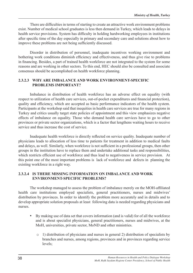There are difficulties in terms of starting to create an attractive work environment problems exist. Number of medical school graduates is less then demand in Turkey, which leads to delays in health service provisions. System has difficulty in holding hardworking employees in institutions after specific time of the day especially in primary and secondary care and solutions about how to improve these problems are not being sufficiently discussed.

Disorder in distribution of personnel, inadequate incentives working environment and bothering work conditions diminish efficiency and effectiveness, and thus give rise to problems in financing. Besides, a part of trained health workforce are not integrated to the system for some reasons and are working in other sectors. To this end, HEC should also be consulted and associate consensus should be accomplished on health workforce planning.

#### **2.3.2.3 WHY ARE IMBALANCE AND WORK ENVIRONMENT-SPECIFIC PROBLEMS IMPORTANT?**

Imbalance in distribution of health workforce has an adverse effect on equality (with respect to utilization of health care services, out-of-pocket expenditures and financial protection), quality and efficiency, which are accepted as basic performance indicators of the health system. Participants at the workshop said that inequities in health care services are true for many regions in Turkey and critics usually target state policies of appointment and this view emphasizes negative effects of imbalance on equality. Those who demand health care services have to go to other provinces or private sector organizations, which is a factor that lengthens waiting hours to receive service and thus increase the cost of service.

Inadequate health workforce is directly reflected on service quality. Inadequate number of physicians leads to allocation of less time to patients for treatment in addition to medical faults and delays, as well. Similarly, when workforce is not sufficient in a professional groups, then other groups in the institution have to replace them and undertake additional tasks and responsibilities, which restricts efficient use of workforce and thus lead to negativeness in service provision. At this point one of the most important problems is lack of workforce and defects in planning the existing workforce in a right way.

#### **2.3.2.4 IS THERE MISSING INFORMATION ON IMBALANCE AND WORK ENVIRONMENT-SPECIFIC PROBLEMS?**

The workshop managed to assess the problem of imbalance merely on the MOH-affiliated health care institutions employed specialists, general practitioners, nurses and midwives' distribution by provinces. In order to identify the problem more accurately and in details and to develop appropriate solution proposals at least following data is needed regarding physicians and nurses.

- By making use of data set that covers information (and is valid) for of all the workforce and is about specialist physicians, general practitioners, nurses and midwives, at the MoH, universities, private sector, MoND and other ministries.
	- o 1) distribution of physicians and nurses in general 2) distribution of specialists by branches and nurses, among regions, provinces and in provinces regarding service levels;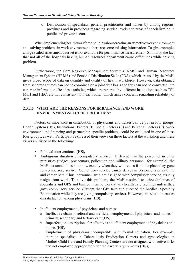o Distribution of specialists, general practitioners and nurses by among regions, provinces and in provinces regarding service levels and areas of specialization in public and private sector.

When implementing health workforce policies about creating an attractive work environment and solving problems in work environment, there are some missing information. To give example, a large scaled assessment data set is not available for performance measurement. Similarly, the fact that not all of the hospitals having human resources department cause difficulties while solving problems.

Furthermore, the Core Resource Management System (CRMS) and Human Resources Management System (HRMS) and Personal Distribution Scale (PDS), which are used by the MoH, gives broad scope of data on quantity and quality of health workforce. However, data obtained from separate sources can not be combined on a joint data basis and thus can not be converted into concrete information. Besides, statistics, which are reported by different institutions such as TSI, MoH and HEC, are not consistent with each other, which arises concerns regarding reliability of data.

#### **2.3.2.5 WHAT ARE THE REASONS FOR IMBALANCE AND WORK ENVIRONMENT-SPECIFIC PROBLEMS?**

Factors of imbalance in distribution of physicians and nurses can be put in four groups: Health System (HS), Institutional Factors (I), Social Factors (S) and Personal Factors (P). Work environment and financing and partnership-specific problems could be evaluated in one of these four groups, as well. Participants expressed their views on these factors at the workshop and these views are listed in the following:

- • Political interventions **(HS),**
- Ambiguous duration of compulsory service. Different than the personnel in other ministries (judges, prosecutors, policemen and military personnel, for example), the MoH personnel does not know exactly when they will return from the place they gone for compulsory service. Compulsory service causes delays in personnel's private life and career path. Thus, personnel, who are assigned with compulsory service, usually resign from work. To solve this problem, the MoH resolved to seize diplomas of specialists and GPS and banned them to work at any health care facilities unless they gave compulsory service. (Except that GPs take and succeed the Medical Specialty Examination while they are giving compulsory service). However, this situation causes dissatisfaction among physicians **(HS).**
- Inefficient employment of physicians and nurses:
	- o Ineffective chain or referral and inefficient employment of physicians and nurses in primary, secondary and tertiary care **(HS)**,
	- o Imperfect job descriptions for effective and efficient employment of physicians and nurses **(HS),**
	- o Employment of physicians incompatible with formal education. For example, thoracic specialists in Tuberculosis Eradication Centers and gynecologists in Mother-Child Care and Family Planning Centers are not assigned with active tasks and not employed appropriately for their work requirements **(HS)**,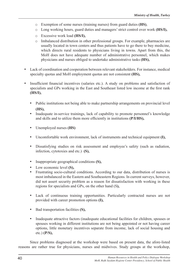- o Exemption of some nurses (training nurses) from guard duties **(HS)**,
- o Long working hours, guard duties and managers' strict control over work **(HS/I),**
- o Excessive work load **(HS/I),**
- o Imbalanced distribution in other professional groups. For example, pharmacies are usually located in town centers and thus patients have to go there to buy medicine, which directs rural residents to physicians living in towns. Apart from this, the MoH does not have adequate number of administrative personnel, which makes physicians and nurses obliged to undertake administrative tasks **(HS),**
- Lack of coordination and cooperation between relevant stakeholders. For instance, medical specialty quotas and MoH employment quotas are not consistent **(HS),**
- Insufficient financial incentives (salaries etc.). A study on problems and satisfaction of specialists and GPs working in the East and Southeast listed low income at the first rank **(HS/I),**
	- Public institutions not being able to make partnership arrangements on provincial level **(HS),**
	- Inadequate in-service trainings, lack of capability to promote personnel's knowledge and skills and to utilize them more efficiently in institutions **(P/I/HS),**
	- • Unemployed nurses **(HS)**
	- Uncomfortable work environment, lack of instruments and technical equipment **(I)**,
	- Dissatisfying studies on risk assessment and employee's safety (such as radiation, infection, cytotoxies and etc.) **(S),**
	- • Inappropriate geographical conditions **(S),**
	- Low economic level **(S)**,
	- Frustrating socio-cultural conditions. According to our data, distribution of nurses is most imbalanced in the Eastern and Southeastern Regions. In current surveys, however, did not assert security problem as a reason for dissatisfaction with working in these regions for specialists and GPs, on the other hand (S**),**
	- Lack of continuous training opportunities. Particularly contracted nurses are not provided with career promotion options **(I),**
	- Bad transportation facilities (S),
	- Inadequate attractive factors (inadequate educational facilities for children, spouses or spouses working in different institutions are not being appointed or not having career options, little monetary incentives separate from income, lack of social housing and etc.) **(P/S),**

Since problems diagnosed at the workshop were based on present data, the afore-listed reasons are rather true for physicians, nurses and midwives. Study groups at the workshop,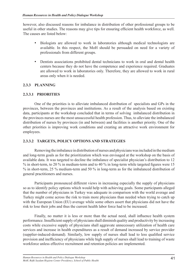however, also discussed reasons for imbalance in distribution of other professional groups to be useful in other studies. The reasons may give tips for ensuring efficient health workforce, as well. The causes are listed below:

- Biologists are allowed to work in laboratories although medical technologists are available. In this respect, the MoH should be persuaded on need for a variety of professionals from different groups.
- Dentists associations prohibited dental technicians to work in oral and dental health centers because they do not have the competence and experience required. Graduates are allowed to work in laboratories only. Therefore, they are allowed to work in rural areas only when it is needed.

### **2.3.3 PLANNING**

### **2.3.3.1 PRIORITIES**

One of the priorities is to alleviate imbalanced distribution of specialists and GPs in the provinces, between the provinces and institutions. As a result of the analysis based on existing data, participants at the workshop concluded that in terms of solving imbalanced distribution in the provinces nurses are the most unsuccessful health profession. Thus, to alleviate the imbalanced distribution of nurses by provinces (in and between) and facilities is another priority. One of the other priorities is improving work conditions and creating an attractive work environment for employees.

# **2.3.3.2 TARGETS, POLICY OPTIONS AND STRATEGIES**

Removing the imbalance in distribution of nurses and physicians was included in the medium and long-term goals as for the prioritization which was envisaged at the workshop on the basis of available data. It was targeted to decline the imbalance of specialist physician's distribution to 12 % in short-term, to 20 % in medium-term and to 40 % in long-term while targeted figures were 15 % in short-term, 25 % medium-term and 50 % in long-term as for the imbalanced distribution of general practitioners and nurses.

Participants pronounced different views in increasing especially the supply of physicians so as to identify policy options which would help with achieving goals. Some participants alleged that the number of physicians in Turkey was adequate in comparison with the world average and Turkey might come across the risk to train more physicians than needed when trying to catch up with the European Union (EU) average while some others assert that physicians did not have the risk to lose their jobs and thus the current health labor force had to be increased.

Finally, no matter it is less or more than the actual need, shall influence health system performance. Insufficient supply of physicians shall diminish quality and productivity by increasing costs while excessive supply of physicians shall aggravate unnecessary utilization of health care services and increase in health expenditures as a result of demand increased by service provider (supplier-induced-demand). Similarly, low supply of nurses shall lead to less qualified service provision and inefficiency of physicians while high supply of nurses shall lead to training of waste workforce unless effective recruitment and retention policies are implemented.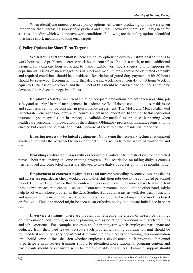When identifying targets-oriented policy options, efficiency producing options were given importance than increasing supply of physicians and nurses. However, there is still a big need for a series of studies which will improve work conditions. Following are the policy options identified to achieve short, medium and long term targets:

#### **a) Policy Options for Short-Term Targets:**

**Work hours and conditions:** There are policy options to develop institutional solutions to work hour-related problems, decrease work hours from 45 to 40 hours a week, to make additional payment for extra one hour work and to make flexible work hours suggestions for appropriate departments. Yields of such suggestions in short and medium term should be estimated carefully and required conditions should be considered. Restriction of guard duty payments with 80 hours should be reviewed. Keeping in mind that decreasing work hours from 45 to 40 hours/week is equal to 10 % loss of workforce, and the impact of this should be assessed and solutions should be developed to reduce the negative effects.

**Employee's Safety**: In current situation adequate precautions are not taken regarding job safety and security. Hospital managements in leadership of MoH do not conduct studies on this issue and such risks can not be consider in performance assessment. The MoH, and MoLSS-affiliated Directorate General of Job Safety and Security are not in collaboration. In addition to this individual insurance system (profession insurance) is available for medical malpractices happening when health care personnel in prosecution of their duties. Obligatory profession insurance legislation is enacted but could not be made applicable because of the veto of the presidential authority.

**Ensuring necessary technical equipment:** Not having the necessary technical equipment available prevents the personnel to work efficiently. It also leads to the waste of workforce and time.

**Providing contracted nurses with career opportunities:** There restrictions for contracted nurses about participating in some training programs. Yet, restriction on taking dialysis courses was removed and contracted nurses are allowed to take dialysis courses up to three months now.

**Employment of contracted physicians and nurses:** According to some views, physicians and nurses are regarded as cheap workforce and thus shift their jobs due to the contracted personnel model. But if we keep in mind that the contracted personnel have much more salary to what extent these views are accurate can be discussed. Contracted personnel model, on the other hand, might help to solve workforce problem in the East, Southeast and rural areas, as well. Besides, physicians and nurses are informed of their work conditions before they start working and the model is based on free will. Thus, the model might be seen as an effective policy to alleviate imbalance in short run.

**In-service trainings:** There are problems in reflecting the effects of in-service trainings on performance, considering in career planning and associating promotions with such trainings and job experience. For example, congress and/or trainings in which employees participate are deducted from their paid leaves. To solve such problems, training coordination unit should be founded first and once every department determine their own needs for training, this coordination unit should come to final decision whether employees should attend such programs. Personnel to participate in in-service trainings should be identified more rationally, program content and participants should be organized so as to improve quality of services. Financial support should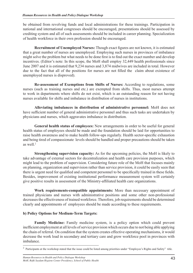be obtained from revolving funds and local administrations for these trainings. Participation in national and international congresses should be encouraged, presentations should be assessed by crediting system and all of such assessments should be included in career planning. Specialization of health workforce in their own profession should be encouraged.

**Recruitment of Unemployed Nurses:** Though exact figures are not known, it is estimated that a great number of nurses are unemployed. Employing such nurses in provinces of imbalance might solve the problem but what needs to be done first is to find out the exact number and develop incentives. (Editor's note: In this scope, the MoH shall employ 32,449 health professionals since June 2007 and it is estimated that 9,234 nurses and 3,874 midwives are included in total. However due to the fact that all of the positions for nurses are not filled the claim about existence of unemployed nurses is disproved).

**Re-assessment of Exemptions from Shifts of Nurses:** According to regulations, some nurses (such as training nurses and etc.) are exempted from shifts. Thus, most nurses attempt to work in departments where shifts do not exist, which is an outstanding reason for not having nurses available for shifts and imbalance in distribution of nurses in institutions.

**Alleviating imbalances in distribution of administrative personnel:** MoH does not have sufficient number of general administrative personnel and thus such tasks are undertaken by physicians and nurses, which aggravates imbalance in distribution.

**General health status of employees:** New arrangements in order to be useful for general health status of employees should be made and the foundation should be laid for opportunities to raise health awareness and to make health follow-ups regularly. Health sector-specific exhaustion and being tired of compassionate levels should be handled and proper precautions should be taken as well<sup>2</sup>

**Strengthening supervision capacity:** As for the upcoming policies, the MoH is likely to take advantage of external sectors for decentralization and health care provision purposes, which might lead to the problem of supervision. Considering future role of the MoH that focuses mainly on planning, organization and supervision rather than service provision, it could be easily seen that there is urgent need for qualified and competent personnel to be specifically trained in these fields. Besides, improvement of existing institutional performance measurement system will certainly give positive results in assessment of the Ministry-affiliated health care organizations.

**Work requirements-compatible appointments:** More than necessary appointment of trained physicians and nurses with administrative positions and some other non-professional decreases the effectiveness of trained workforce. Therefore, job requirements should be determined clearly and appointments of employees should be made according to these requirements.

### **b) Policy Options for Medium-Term Targets:**

**Family Medicine:** Family medicine system, is a policy option which could prevent inefficient employment at all levels of service provision which occurs due to not being able applying the chain of referral. On condition that the system creates effective operating mechanisms, it would decrease the work load in secondary and tertiary care and grow workforce pool in provinces with imbalance.

<sup>&</sup>lt;sup>2</sup> Participants at the workshop stated that the issue could be listed among priorities under "Employee's Rights and Safety" title.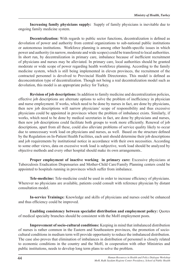**Increasing family physicians supply:** Supply of family physicians is inevitable due to ongoing family medicine system.

**Decentralization:** With regards to public sector functions, decentralization is defined as devolution of power and authority from central organizations to sub-national public institutions or autonomous institutions. Workforce planning is among other health-specific issues in which power and authority (in narrow, moderate and wide scopes) could be transferred to local authorities. In short run, by decentralization in primary care, imbalance because of inefficient recruitment of physicians and nurses may be alleviated. In primary care, local authorities should be granted moderate or wide scope of power regarding health workforce planning. According to the family medicine system, which is still being implemented in eleven provinces, the recruitment of the contracted personnel is devolved to Provincial Health Directorates. This model is defined as deconcentration type of decentralization. Though not being a real decentralization model such as devolution, this model is an appropriate policy for Turkey.

**Revision of job descriptions:** In addition to family medicine and decentralization policies, effective job descriptions are alternate options to solve the problem of inefficiency in physician and nurse employment. If works, which need to be done by nurses in fact, are done by physicians, then new job descriptions will narrow physicians' scope of responsibility and thus excessive physicians could be appointed in provinces where the problem of imbalance exists. Similarly, if works, which need to be done by medical secretaries in fact, are done by physicians and nurses, then new job descriptions could facilitate both groups to work more efficiently. Renewal of job descriptions, apart from all these, could also alleviate problems of service quality likely to occur due to unnecessary work load on physicians and nurses, as well. Based on the structure defined by the Regulation on In-Patient Health Facilities, each unit should determine their job descriptions and job requirements by institutional notice in accordance with their own necessities. According to some other views, data on excessive work load is subjective, work load should be analyzed by objective methods and every other hospital should make its own arrangements..

**Proper employment of inactive working in primary care:** Excessive physicians at Tuberculosis Eradication Dispensaries and Mother-Child Care/Family Planning centers could be appointed to hospitals running in provinces which suffer from imbalance.

**Tele-medicine:** Tele-medicine could be used in order to increase efficiency of physicians. Wherever no physicians are available, patients could consult with reference physician by distant consultation model.

**In-service Trainings:** Knowledge and skills of physicians and nurses could be enhanced and thus efficiency could be improved.

**Enabling consistency between specialist distribution and employment policy:** Quotes of medical specialty branches should be consistent with the MoH employment posts.

**Improvement of socio-cultural conditions:** Keeping in mind that imbalanced distribution of nurses is rather common in the Eastern and Southeastern provinces, the promotion of sociocultural conditions in medium term will provide opportunity to reduce the imbalanced distribution. The case also proves that elimination of imbalances in distribution of personnel is closely related to economic conditions in the country and the MoH, in cooperation with other Ministries and public institutions, needs to develop long term plans to solve the problem.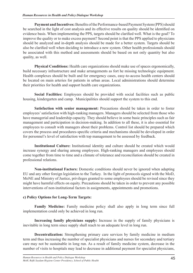**Payment and Incentives:** Benefits of the Performance-based Payment System (PPS) should be searched in the light of cost analysis and its effective results on quality should be identified on evidence basis. When implementing the PPS, targets should be clarified well. What is the goal? To improve the quality or to make excess payment? Second point is that the PPS applied to physicians should be analyzed and in-depth analysis should be made for a better system. Targets should be also be clarified well when deciding to introduce a new system. Other health professionals should be associated with this method and assessments should be based on not only quantity but also quality, as well.

**Physical Conditions:** Health care organizations should make use of spaces ergonomically, build necessary infrastructure and make arrangements as fort he missing technologic equipment. Health complexes should be built and for emergency cases, easy-to-access health centers should be located on main arteries for patients in urban areas. Local administrations should determine their priorities for health and support health care organizations.

**Social Facilities:** Employees should be provided with social facilities such as public housing, kindergarten and camp. Municipalities should support the system to this end.

**Satisfaction with senior management:** Precautions should be taken in order to foster employees' satisfaction with high-ranking managers. Managers should be selected from those who have managerial and leadership capacity. They should believe in some basic principles such as fair management and participation in decision-making. In addition to all these, it is also essential for employees to consult with managers about their problems. Control list should be prepared which covers the process and procedures-specific criteria and mechanisms should be developed in order for personnel's level of satisfaction with top management to be assessed by feedback.

**Institutional Culture:** Institutional identity and culture should be created which would increase synergy and sharing among employees. High-ranking managers and employees should come together from time to time and a climate of tolerance and reconciliation should be created in professional relations.

**Non-institutional Factors:** Domestic conditions should never be ignored when adapting EU and any other foreign legislation to the Turkey. In the light of protocols signed with the MoD, MoNE and Ministry of Justice, privileges granted to some employees should be revised since they might have harmful effects on equity. Precautions should be taken in order to prevent any possible interventions of non-institutional factors in assignments, appointments and promotions.

### **c) Policy Options for Long-Term Targets:**

**Family Medicine:** Family medicine policy shall also apply in long term since full implementation could only be achieved in long run.

**Increasing family physicians supply:** Increase in the supply of family physicians is inevitable in long term since supply shall reach to an adequate level in long run.

**Decentralization:** Strengthening primary care services by family medicine in medium term and thus increasing the number of specialist physicians and nurses for secondary and tertiary care may not be sustainable in long run. As a result of family medicine system, decrease in the number of visits to hospitals may lead to decrease in additional payment for specialist physicians,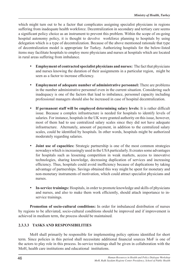which might turn out to be a factor that complicates assigning specialist physicians in regions suffering from inadequate health workforce. Decentralization in secondary and tertiary care seems a significant policy choice as an instrument to prevent this problem. Within the scope of on-going hospital autonomy policy, it is thought to devolve workforce planning to hospitals by using delegation which is a type of decentralization. Because of the above mentioned rationale that type of decentralization model is appropriate for Turkey. Authorizing hospitals for the below-listed items may facilitate hospitals to employ more physicians and nurses at hospitals which are located in rural areas suffering from imbalance.

- **Employment of contracted specialist physicians and nurses:** The fact that physicians and nurses knowing the duration of their assignments in a particular region, might be seen as a factor to increase efficiency.
- **Employment of adequate number of administrative personnel:** There are problems in the number administrative personnel even in the current situation. Considering such inadequacy is one of the factors that lead to imbalance, personnel capacity including professional managers should also be increased in case of hospital decentralization.
- **If permanent staff will be employed determining salary levels:** It is rather difficult issue. Because a complex infrastructure is needed for hospitals to identify levels of salaries. For instance, hospitals in the UK were granted authority on this issue, however, most of them had to use centralized salary scales since they did not have adequate infrastructure. Alternately, amount of payment, in addition to the centralized salary scales, could be identified by hospitals. In other words, hospitals might be authorized moderately regarding salaries.
- **Joint use of capacities:** Strategic partnership is one of the most common strategies nowadays which is increasingly used in the USA particularly. It creates some advantages for hospitals such as lessening competition in weak markets, access to innovative technologies, sharing knowledge, decreasing duplication of services and increasing efficiency. Thus, hospitals could avoid inefficiency because of duplications by taking advantage of partnerships. Savings obtained this way might be spent for monetary and non-monetary instruments of motivation, which could attract specialist physicians and nurses.
- In-service trainings: Hospitals, in order to promote knowledge and skills of physicians and nurses, and also to make them work efficiently, should attach importance to inservice trainings.

**Promotion of socio-cultural conditions:** In order for imbalanced distribution of nurses by regions to be alleviated, socio-cultural conditions should be improved and if improvement is achieved in medium term, the process should be maintained.

# **2.3.3.3 TASKS AND RESPONSIBILITIES**

MoH shall primarily be responsible for implementing policy options identified for short term. Since policies in this period shall necessitate additional financial sources MoF is one of the actors to play role in this process. In-service trainings shall be given in collaboration with the MoH, health care institutions and educational institutions.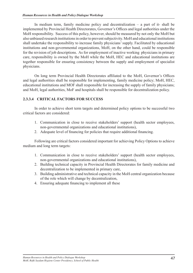In medium term, family medicine policy and decentralization – a part of it- shall be implemented by Provincial Health Directorates, Governor's Offices and legal authorities under the MoH responsibility. Success of this policy, however, should be measured by not only the MoH but also unbiased research institutions in order to prevent subjectivity. MoH and educational institutions shall undertake the responsibility to increase family physicians' supply. Facilitated by educational institutions and non-governmental organizations, MoH, on the other hand, could be responsible for the revision of job descriptions. As for employment of inactive working physicians in primary care, responsibility is owned by the MoH while the MoH, HEC and educational institutions are together responsible for ensuring consistency between the supply and employment of specialist physicians.

On long term Provincial Health Directorates affiliated to the MoH, Governor's Offices and legal authorities shall be responsible for implementing, family medicine policy; MoH, HEC, educational institutions and MOF shall responsible for increasing the supply of family physicians; and MoH, legal authorities, MoF and hospitals shall be responsible for decentralization policy.

### **2.3.3.4 CRITICAL FACTORS FOR SUCCESS**

In order to achieve short term targets and determined policy options to be successful two critical factors are considered:

- 1. Communication in close to receive stakeholders' support (health sector employees, non-governmental organizations and educational institutions),
- 2. Adequate level of financing for policies that require additional financing.

Following are critical factors considered important for achieving Policy Options to achieve medium and long term targets:

- 1. Communication in close to receive stakeholders' support (health sector employees, non-governmental organizations and educational institutions),
- 2. Building technical capacity in Provincial Health Directorates for family medicine and decentralization to be implemented in primary care,
- 3. Building administrative and technical capacity in the MoH central organization because of the role which will change by decentralization,
- 4. Ensuring adequate financing to implement all these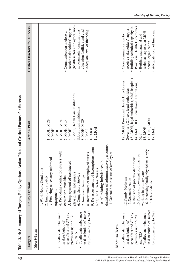Table 2.14: Summary of Targets, Policy Options, Action Plan and Critical Factors for Success 48**Table 2.14: Summary of Targets, Policy Options, Action Plan and Critical Factors for Success**

| Targets                                                                                                                                                                                   | <b>Policy Options</b>                                                                                                                                                                                                                                                                                                                                                                                                                                                                                           | <b>Action Plan</b>                                                                                                                                                                                                      | <b>Critical Factors for Success</b>                                                                                                                                                                                                            |
|-------------------------------------------------------------------------------------------------------------------------------------------------------------------------------------------|-----------------------------------------------------------------------------------------------------------------------------------------------------------------------------------------------------------------------------------------------------------------------------------------------------------------------------------------------------------------------------------------------------------------------------------------------------------------------------------------------------------------|-------------------------------------------------------------------------------------------------------------------------------------------------------------------------------------------------------------------------|------------------------------------------------------------------------------------------------------------------------------------------------------------------------------------------------------------------------------------------------|
| Short-Term                                                                                                                                                                                |                                                                                                                                                                                                                                                                                                                                                                                                                                                                                                                 |                                                                                                                                                                                                                         |                                                                                                                                                                                                                                                |
| in distribution of nurses<br>by provinces up to %15<br>To alleviate imbalance<br>specialists and GPs by<br>To alleviate imbalance<br>provinces up to %12<br>in distribution of<br>and %15 | distribution of administrative personnel<br>9. Re-assessment of Exemptions from<br>nurses with<br>11. General health status of employees<br>8. Recruitment of unemployed nurses<br>3. Ensuring necessary technical<br>10. Alleviating imbalances in<br>5. Employment of contracted<br>1. Work Hours, Conditions<br>Regular Turn for Nurses<br>4. Providing contracted<br>physicians and nurses<br>6. Compulsory Service<br>7. In-service trainings<br>career opportunities<br>2. Employee's Safety<br>equipment | 7. MoH, Health Care Institutions,<br>Educational Institutions<br>1. MOH, MOF<br>4. MOH, MOF<br>8. MOH, MOF<br>5. MOH, MoF<br>10. MOH<br>11. MOH<br>6. MOH,<br>3. MOH<br>2. MOH<br>9. MoH                                | (health sector employees, non-<br>receive stakeholders' support<br>governmental organizations,<br>education facilities and etc.)<br>Adequate level of financing<br>Communication in close to                                                   |
| Medium Term                                                                                                                                                                               |                                                                                                                                                                                                                                                                                                                                                                                                                                                                                                                 |                                                                                                                                                                                                                         |                                                                                                                                                                                                                                                |
| in distribution of nurses<br>by provinces up to %25<br>To alleviate imbalance<br>specialists and GPs by<br>To alleviate imbalance<br>provinces up to %20<br>in distribution of<br>and %25 | 16. Increasing family physicians supply<br>5. Proper employment ofof inactive<br>14. Revision of job/task definitions<br>working in primary care<br>12. Family Medicine<br>13. Decentralization<br>17. Tele-medicine                                                                                                                                                                                                                                                                                            | 13. MOH, legal authorities, MoF, hospitals,<br>12 MOH, Provincial Health Directorates,<br>14. MoH, HEC, Educational Institutions,<br>Governor's Offices, legal authorities<br>16. HEC, MOH<br>15. MOH<br>17. MoH<br>Mof | Provincial Health Directorates<br>· Building technical capacity in<br>receive stakeholders' support<br>Adequate level of financing<br>technical capacity at MOH<br>Building managerial and<br>• Close communication to<br>central organization |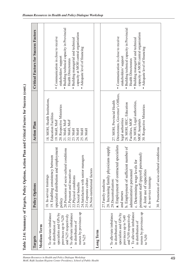| ļ                                  |
|------------------------------------|
|                                    |
|                                    |
| ļ                                  |
| l<br>$\zeta$                       |
|                                    |
| ican ci<br>i<br>ׇ֘֝֬֕              |
|                                    |
| i<br>֕                             |
|                                    |
| י<br>ו<br>i<br>$\overline{1}$<br>l |
| ;<br>,<br>I<br>J<br>i              |
| ŀ<br>—<br>—                        |
|                                    |
|                                    |
|                                    |
| $\overline{\phantom{a}}$           |
|                                    |
| $\frac{1}{2}$<br>)<br>}<br>l<br>I  |

| Targets                                                                                                                                                                                                        | <b>Policy Options</b>                                                                                                                                                                                                                                                                                                                                                                                 | <b>Action Plan</b>                                                                                                                                                                                               | <b>Critical Factors for Success Factors</b>                                                                                                                                                                                                                          |
|----------------------------------------------------------------------------------------------------------------------------------------------------------------------------------------------------------------|-------------------------------------------------------------------------------------------------------------------------------------------------------------------------------------------------------------------------------------------------------------------------------------------------------------------------------------------------------------------------------------------------------|------------------------------------------------------------------------------------------------------------------------------------------------------------------------------------------------------------------|----------------------------------------------------------------------------------------------------------------------------------------------------------------------------------------------------------------------------------------------------------------------|
| Medium Term                                                                                                                                                                                                    |                                                                                                                                                                                                                                                                                                                                                                                                       |                                                                                                                                                                                                                  |                                                                                                                                                                                                                                                                      |
| nurses by provinces up<br>To alleviate imbalance<br>To alleviate imbalance<br>specialists and GPs by<br>and %25 respectively<br>provinces up to %20<br>in distribution of<br>in distribution of<br>$10\%25$    | employment<br>20.Promotion of socio-cultural conditions<br>24. Satisfaction with senior managers<br>19. Enabling consistency between<br>specialist distribution and $\epsilon$<br>26. Non-institutional factors<br>21.Payment and incentives<br>18. In-service trainings<br>22. Physical conditions<br>25. Corporate culture<br>23. Social benefits<br>policy                                         | 18. MOH, Health Institutions,<br>20. Respective Ministries<br><b>Education Facilities</b><br>21. MoH, MoF<br>22. MoH, MoF<br>23. MoH<br>24. MoH<br>25. MoH<br>19. MoH, MoF<br>26. MoH                            | Building technical capacity in Provincial<br>capacity at MOH central organization<br>• Communication in close to receive<br>· Building managerial and technical<br>• Adequate level of financing<br>stakeholders' support<br><b>Health Directorates</b><br>$\bullet$ |
| Long Term                                                                                                                                                                                                      |                                                                                                                                                                                                                                                                                                                                                                                                       |                                                                                                                                                                                                                  |                                                                                                                                                                                                                                                                      |
| nurses by provinces up<br>To alleviate imbalance<br>To alleviate imbalance<br>specialists and GPs by<br>and %50 respectively<br>provinces up to %40<br>in distribution of<br>in distribution of<br>$10\,\%$ of | a. Employment of contracted specialists<br>28. Increasing family physicians supply<br>b. Employment of sufficient number of<br>30. Promotion of socio-cultural conditions<br>permanent staff (payroll personnel)<br>c. Determining wage levels for<br>administrative personnel<br>d. Joint use of capacities<br>e. In-service trainings<br>29. Decentralization:<br>27. Family medicine<br>and nurses | Directorates, Governor's Offices,<br>27. MOH, Provincial Health<br>29. MOH, Legal authorities,<br>28. MOH, HEC, Education<br>30. Respective Ministries<br>legal authorities<br>Facilities, MOF<br>MOF, hospitals | · Building technical capacity in Provincial<br>capacity at MOH central organization<br>• Communication in close to receive<br>Building managerial and technical<br>Adequate level of financing<br>stakeholders' support<br><b>Health Directorates</b><br>$\bullet$   |
|                                                                                                                                                                                                                |                                                                                                                                                                                                                                                                                                                                                                                                       |                                                                                                                                                                                                                  |                                                                                                                                                                                                                                                                      |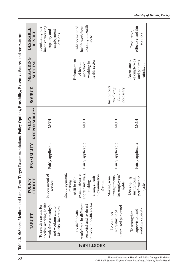Table 2.15:Short, Medium and Long Term Target Recommendations, Policy Options, Feasibility, Executive Source and Assessment 50**Table 2.15:Short, Medium and Long Term Target Recommendations, Policy Options, Feasibility, Executive Source and Assessment**

| TARGET                        | inactive working health<br>work force capacity's<br>To search reasons for<br>identify incentives<br>not working and to | to work in health sector<br>workforce in different<br>sector(s) and re-direct<br>To shift health                                          | contracted personnel<br>recruitment of<br>To continue   | auditing capacity<br>supervision and<br>To strengthen      |
|-------------------------------|------------------------------------------------------------------------------------------------------------------------|-------------------------------------------------------------------------------------------------------------------------------------------|---------------------------------------------------------|------------------------------------------------------------|
|                               |                                                                                                                        |                                                                                                                                           |                                                         |                                                            |
| CHOICE<br>POLICY              | Procurement of<br>service                                                                                              | Encouragement,<br>shorter intervals,<br>examinations at<br>in examination<br>arrangements<br>shift in title<br>making<br>making<br>format | for employees'<br>Making some<br>arrangements<br>rights | performance<br>Developing<br>institutional<br>system       |
| FEASIBILITY                   | Fairly applicable                                                                                                      | Fairly applicable                                                                                                                         | Fairly applicable                                       | Fairly applicable                                          |
| RESPONSIBLE??<br><b>S.OHM</b> | <b>MOH</b>                                                                                                             | <b>NOH</b>                                                                                                                                | <b>MOH</b>                                              | <b>MOH</b>                                                 |
| SOURCE                        |                                                                                                                        |                                                                                                                                           | Institution's<br>revolving<br>necessary<br>fund, if     |                                                            |
| MEASURING<br>SUCCESS          |                                                                                                                        | Enhancement<br>health sector<br>working in<br>workforce<br>of health                                                                      |                                                         | of employees<br>Assessment<br>and patients<br>satisfaction |
| DESIRABLE<br>RESULT           | inactive working<br>Identifying the<br>capacity and<br>employment<br>options                                           | working in health<br>Enhancement of<br>health workforce<br>secto                                                                          |                                                         | effective and fair<br>Productive,<br>services              |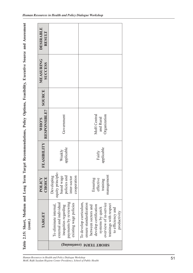|                      | DESIRABLE                    |                                                                                                                                                 |                                                                                                                                                                                                               |  |  |
|----------------------|------------------------------|-------------------------------------------------------------------------------------------------------------------------------------------------|---------------------------------------------------------------------------------------------------------------------------------------------------------------------------------------------------------------|--|--|
| MEASURING<br>SUCCESS |                              |                                                                                                                                                 |                                                                                                                                                                                                               |  |  |
|                      | SOURCE                       |                                                                                                                                                 |                                                                                                                                                                                                               |  |  |
|                      | <b>RESPONSIBLE?</b><br>WHO'S | Government                                                                                                                                      | MoH Central<br>Organization<br>and Rural                                                                                                                                                                      |  |  |
|                      | FEASIBILITY                  | applicable<br>Weakly                                                                                                                            | applicable<br>Fairly                                                                                                                                                                                          |  |  |
|                      | CHOICE<br>POLICY             | equity principle-<br>management<br>Developing<br>based wage<br>policies and<br>cooperation<br>inter-sector<br>Ensuring<br>effective<br>training |                                                                                                                                                                                                               |  |  |
| (const.)             | TARGET                       | payments by reviewing<br>existing wage policies<br>external and individual<br>To eliminate internal,<br>inequities regarding                    | To develop curriculum,<br>ensure standardization<br>overview of in-service<br>trainings with respect<br>develop certification<br>between sectors and<br>systems by quick<br>to efficiency and<br>productivity |  |  |
|                      |                              |                                                                                                                                                 |                                                                                                                                                                                                               |  |  |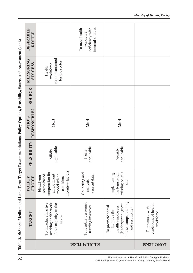|                              |                                                                                                               | <b>MEDIUM TERM</b>                                                 |                                                                                                                            | <b>LONG TERM</b>                                     |
|------------------------------|---------------------------------------------------------------------------------------------------------------|--------------------------------------------------------------------|----------------------------------------------------------------------------------------------------------------------------|------------------------------------------------------|
| TARGET                       | To introduce inactive<br>working health work<br>force capacity to the<br>sector                               | To identify personnel<br>training inventory                        | house, camps, training<br>(kindergarten, guest<br>To promote social<br>health employees<br>and rest home<br>facilities for | conditions of health<br>To promote work<br>workforce |
| CHOICE<br>POLICY             | incentive factors<br>cooperation for<br>model which<br>employment<br>sector-based<br>Identifying<br>considers | Collecting and<br>current data<br>analysis of                      | existing on this<br>Implementing<br>the legislation<br>issue                                                               |                                                      |
| FEASIBILITY                  | applicable<br>Mildly                                                                                          | applicable<br>Fairly                                               | applicable<br>Weakly                                                                                                       |                                                      |
| <b>RESPONSIBLE?</b><br>WHO'S | <b>MoH</b>                                                                                                    | <b>MoH</b>                                                         | <b>MoH</b>                                                                                                                 |                                                      |
| SOURCE                       |                                                                                                               |                                                                    |                                                                                                                            |                                                      |
| MEASURING<br>SUCCESS         | ration warranted<br>for the sector<br>workforce<br>Health                                                     |                                                                    |                                                                                                                            |                                                      |
| DESIRABLE<br>RESULT          |                                                                                                               | internal sources<br>deficiency with<br>To meet health<br>workforce |                                                                                                                            |                                                      |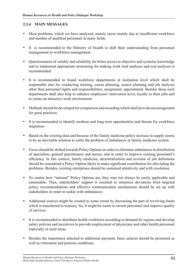## **2.3.4 MAIN MESSAGES**

- Most problems, which we have analyzed, mainly occur mainly due to insufficient workforce and number of qualified personnel in many fields.
- It is recommended to the Ministry of Health to shift their understanding from personnel management to workforce management
- • Questionnaires of validity and reliability for better access to objective and systemic knowledge and to implement appropriate structuring for making work load analyses and cost analyses is recommended
- It is recommended to found workforce departments at institution level which shall be responsible also for conducting training, career planning, source planning and job analyses other than personnel rights and responsibilities, assignment, appointment. Besides these such departments shall also help to enhance employees' motivation level, loyalty to their jobs and to create an attractive work environment.
- Methods should be developed for comparison and awarding which shall provide encouragement for good practices.
- It is recommended to identify medium and long term opportunities and threats for workforce migration.
- Based on the existing data and because of the family medicine policy increase in supply seems to be an inevitable solution to settle the problem of imbalances in family medicine system.
- Focus should be shifted towards Policy Options in order to eliminate imbalances in distribution of specialists, general practitioners and nurses, and in order to improve existing personnel's efficiency. In this context, family medicine, decentralization and revision of job definitions should be considered a Policy Option likely to make significant contribution for alleviating the problems. Besides, existing enterprises should be sustained attentively and with resolution.
- No matter how "rational" Policy Options are, they may not always be easily applicable and sustainable. Thus, stakeholders' support is essential to minimize deviations from targeted policy recommendations and effective communication mechanisms should be set up with stakeholders in order to tackle with imbalances.
- Additional sources might be created to some extent by decreasing the part of revolving funds which is transferred to treasury. So, it might be easier to recruit personnel and improve quality of services.
- It is recommended to distribute health workforce according to demand by regions and develop salary policies and incentives to provide employment of physicians and other health personnel especially in rural areas.
- • Besides the importance attached to additional payment, basic salaries should be promoted as well as retirement and pension conditions.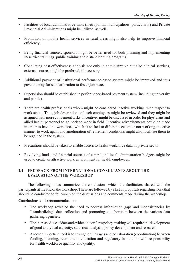- Facilities of local administrative units (metropolitan municipalities, particularly) and Private Provincial Administrations might be utilized, as well.
- Promotion of mobile health services in rural areas might also help to improve financial efficiency.
- Being financial sources, sponsors might be better used for both planning and implementing in-service trainings, public training and distant learning programs.
- Conducting cost-effectiveness analysis not only in administrative but also clinical services, external sources might be preferred, if necessary.
- Additional payment of institutional performance-based system might be improved and thus pave the way for standardization to foster job peace.
- Supervision should be established in performance-based payment system (including university and public).
- There are health professionals whom might be considered inactive working with respect to work status. Thus, job descriptions of such employees might be reviewed and they might be assigned with more convenient tasks. Incentives might be discussed in order for physicians and allied health personnel to go back to work in field. Incentive advertisements could be made in order to have the workforce, which is shifted to different sectors or not working in active manner to work again and amelioration of retirement conditions might also facilitate them to be regained in the system.
- Precautions should be taken to enable access to health workforce data in private sector.
- Revolving funds and financial sources of central and local administration budgets might be used to create an attractive work environment for health employees.

## **2.4 FEEDBACK FROM INTERNATIONAL CONSULTANTS ABOUT THE EVALUATION OF THE WORKSHOP**

The following notes summarize the conclusions which the facilitators shared with the participants at the end of the workshop. These are followed by a list of proposals regarding work that should be conducted to follow-up on the discussions and comments made during the workshop.

#### **Conclusions and recommendations**

- The workshop revealed the need to address information gaps and inconsistencies by "standardizing" data collection and promoting collaboration between the various data gathering agencies.
- • The increased use of data and evidence to inform policy-making will require the development of good analytical capacity: statistical analysis; policy development and research.
- Another important need is to strengthen linkages and collaboration (coordination) between funding, planning, recruitment, education and regulatory institutions with responsibility for health workforce quantity and quality.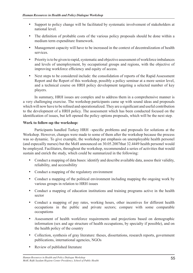- Support to policy change will be facilitated by systematic involvement of stakeholders at national level.
- The definition of probable costs of the various policy proposals should be done within a medium term expenditure framework.
- Management capacity will have to be increased in the context of decentralization of health services.
- Priority is to be given to rapid, systematic and objective assessment of workforce imbalances and levels of unemployment, by occupational groups and regions, with the objective of improving workforce efficiency and equity of access.
- Next steps to be considered include: the consolidation of reports of the Rapid Assessment Report and the Report of this workshop, possibly a policy seminar at a more senior level, and a technical course on HRH policy development targeting a selected number of key players.

In summary, HRH issues are complex and to address them in a comprehensive manner is a very challenging exercise. The workshop participants came up with sound ideas and proposals which will now have to be refined and operationalized. They are a significant and useful contribution to the development of a HRH policy. The assessment which has been conducted focused on the identification of issues, but left opened the policy options proposals, which will be the next step.

#### **Work to follow-up the workshop:**

Participants handled Turkey HRH –specific problems and proposals for solutions at the Workshop. However, changes were made to some of them after the workshop because the process was so dynamic. To give example, the workshop put emphasis on unemployable health personel (and especailly nurses) but the MoH announced on 30.05.2007that 32.4449 health personel would be employed. Facilitatırs, throughout the workshop, recommended a series of activities that would sustain and enrich the study, which could be summarized in the following:

- Conduct a mapping of data bases: identify and describe available data, assess their validity, reliability, and accessibility
- Conduct a mapping of the regulatory environment
- Conduct a mapping of the political environment including mapping the ongoing work by various groups in relation to HRH issues
- Conduct a mapping of education institutions and training programs active in the health sector
- Conduct a mapping of pay rates, working hours, other incentives for different health occupations in the public and private sectors; compare with some comparable occupations
- Assessment of health workforce requirements and projections based on demographic information (sex and age structure of health occupations, by specialty if possible), and on the health policy of the country
- Collection, synthesis of gray literature: theses, dissertations, research reports, government publications, international agencies, NGOs
- Review of published literature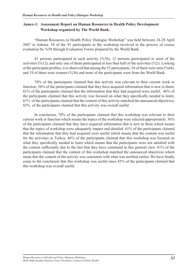# **Annex-1: Assessment Report on Human Resources in Health Policy Development Workshop organized by The World Bank.**

"Human Resources in Health Policy Dialogue Workshop" was held between 24-28 April 2007 in Ankara. 54 of the 91 participants in the workshop involved in the process of course evaluation by %59 through Evaluation Forms prepared by the World Bank.

41 persons participated in each activity (%76), 12 persons participated in most of the activities (%12), and only one of them participated in less than half of the activities (%2). Looking at the participant profiles, it is observed that among the 53 participants, 34 of them were men (%64), and 19 of them were women (%36) and none of the participants were from the World Bank.

78% of the participants claimed that this activity was relevant to their current work or function; 56% of the participants claimed that they have acquired information that is new to them; 61% of the participants claimed that the information that they had acquired were useful; 46% of the participants claimed that this activity was focused on what they specifically needed to learn; 61% of the participants claimed that the content of this activity matched the announced objectives; 83% of the participants claimed that this activity was overall useful.

In conclusion, 78% of the participants claimed that this workshop was relevant to their current work or function which means the topics of the workshop were selected appropriately. 56% of the participants claimed that they have acquired information that is new to them which means that the topics of workshop were adequately impact and detailed. 61% of the participants claimed that the information that they had acquired were useful which means that the content was useful for the activities in Turkey. 46% of the participants claimed that this workshop was focused on what they specifically needed to learn which means that the participants were not satisfied with the content sufficiently due to the fact that they have command in this general view. 61% of the participants claimed that the content of this workshop matched the announced objectives which mean that the content of the activity was consistent with what was notified earlier. We have finally come to the conclusion that this workshop was useful since 83% of the participants claimed that this workshop was overall useful.